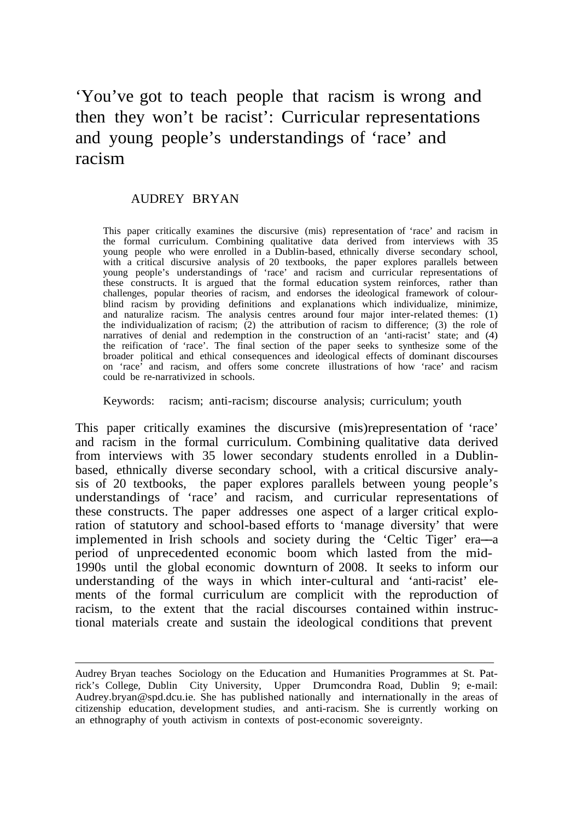'You've got to teach people that racism is wrong and then they won't be racist': Curricular representations and young people's understandings of 'race' and racism

#### AUDREY BRYAN

This paper critically examines the discursive (mis) representation of 'race' and racism in the formal curriculum. Combining qualitative data derived from interviews with 35 young people who were enrolled in a Dublin-based, ethnically diverse secondary school, with a critical discursive analysis of 20 textbooks, the paper explores parallels between young people's understandings of 'race' and racism and curricular representations of these constructs. It is argued that the formal education system reinforces, rather than challenges, popular theories of racism, and endorses the ideological framework of colourblind racism by providing definitions and explanations which individualize, minimize, and naturalize racism. The analysis centres around four major inter-related themes: (1) the individualization of racism; (2) the attribution of racism to difference; (3) the role of narratives of denial and redemption in the construction of an 'anti-racist' state; and (4) the reification of 'race'. The final section of the paper seeks to synthesize some of the broader political and ethical consequences and ideological effects of dominant discourses on 'race' and racism, and offers some concrete illustrations of how 'race' and racism could be re-narrativized in schools.

Keywords: racism; anti-racism; discourse analysis; curriculum; youth

This paper critically examines the discursive (mis)representation of 'race' and racism in the formal curriculum. Combining qualitative data derived from interviews with 35 lower secondary students enrolled in a Dublinbased, ethnically diverse secondary school, with a critical discursive analysis of 20 textbooks, the paper explores parallels between young people's understandings of 'race' and racism, and curricular representations of these constructs. The paper addresses one aspect of a larger critical exploration of statutory and school-based efforts to 'manage diversity' that were implemented in Irish schools and society during the 'Celtic Tiger' era––a period of unprecedented economic boom which lasted from the mid-1990s until the global economic downturn of 2008. It seeks to inform our understanding of the ways in which inter-cultural and 'anti-racist' elements of the formal curriculum are complicit with the reproduction of racism, to the extent that the racial discourses contained within instructional materials create and sustain the ideological conditions that prevent

Audrey Bryan teaches Sociology on the Education and Humanities Programmes at St. Patrick's College, Dublin City University, Upper Drumcondra Road, Dublin 9; e-mail: [Audrey.bryan@spd.dcu.ie.](mailto:Audrey.bryan@spd.dcu.ie) She has published nationally and internationally in the areas of citizenship education, development studies, and anti-racism. She is currently working on an ethnography of youth activism in contexts of post-economic sovereignty.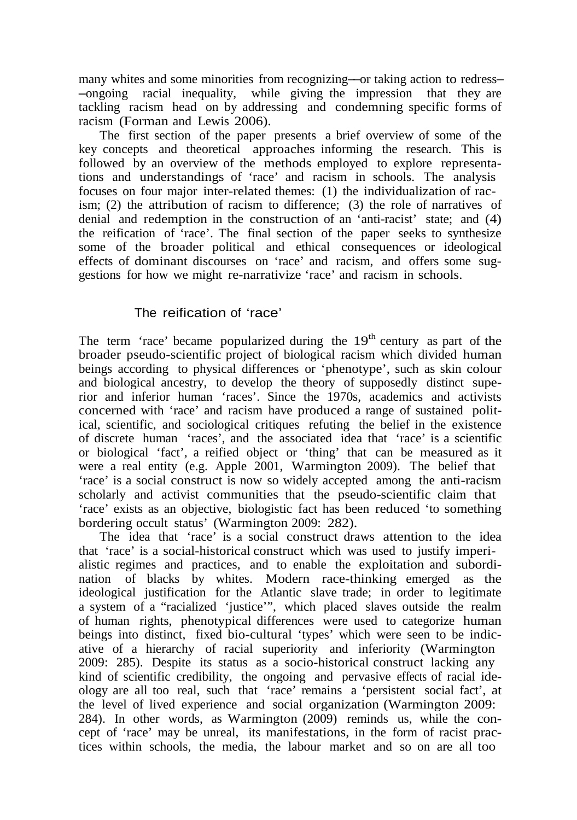many whites and some minorities from recognizing––or taking action to redress– –ongoing racial inequality, while giving the impression that they are tackling racism head on by addressing and condemning specific forms of racism (Forman and Lewis 2006).

The first section of the paper presents a brief overview of some of the key concepts and theoretical approaches informing the research. This is followed by an overview of the methods employed to explore representations and understandings of 'race' and racism in schools. The analysis focuses on four major inter-related themes: (1) the individualization of racism; (2) the attribution of racism to difference; (3) the role of narratives of denial and redemption in the construction of an 'anti-racist' state; and (4) the reification of 'race'. The final section of the paper seeks to synthesize some of the broader political and ethical consequences or ideological effects of dominant discourses on 'race' and racism, and offers some suggestions for how we might re-narrativize 'race' and racism in schools.

## The reification of 'race'

The term 'race' became popularized during the 19<sup>th</sup> century as part of the broader pseudo-scientific project of biological racism which divided human beings according to physical differences or 'phenotype', such as skin colour and biological ancestry, to develop the theory of supposedly distinct superior and inferior human 'races'. Since the 1970s, academics and activists concerned with 'race' and racism have produced a range of sustained political, scientific, and sociological critiques refuting the belief in the existence of discrete human 'races', and the associated idea that 'race' is a scientific or biological 'fact', a reified object or 'thing' that can be measured as it were a real entity (e.g. Apple 2001, Warmington 2009). The belief that 'race' is a social construct is now so widely accepted among the anti-racism scholarly and activist communities that the pseudo-scientific claim that 'race' exists as an objective, biologistic fact has been reduced 'to something bordering occult status' (Warmington 2009: 282).

The idea that 'race' is a social construct draws attention to the idea that 'race' is a social-historical construct which was used to justify imperialistic regimes and practices, and to enable the exploitation and subordination of blacks by whites. Modern race-thinking emerged as the ideological justification for the Atlantic slave trade; in order to legitimate a system of a "racialized 'justice'", which placed slaves outside the realm of human rights, phenotypical differences were used to categorize human beings into distinct, fixed bio-cultural 'types' which were seen to be indicative of a hierarchy of racial superiority and inferiority (Warmington 2009: 285). Despite its status as a socio-historical construct lacking any kind of scientific credibility, the ongoing and pervasive effects of racial ideology are all too real, such that 'race' remains a 'persistent social fact', at the level of lived experience and social organization (Warmington 2009: 284). In other words, as Warmington (2009) reminds us, while the concept of 'race' may be unreal, its manifestations, in the form of racist practices within schools, the media, the labour market and so on are all too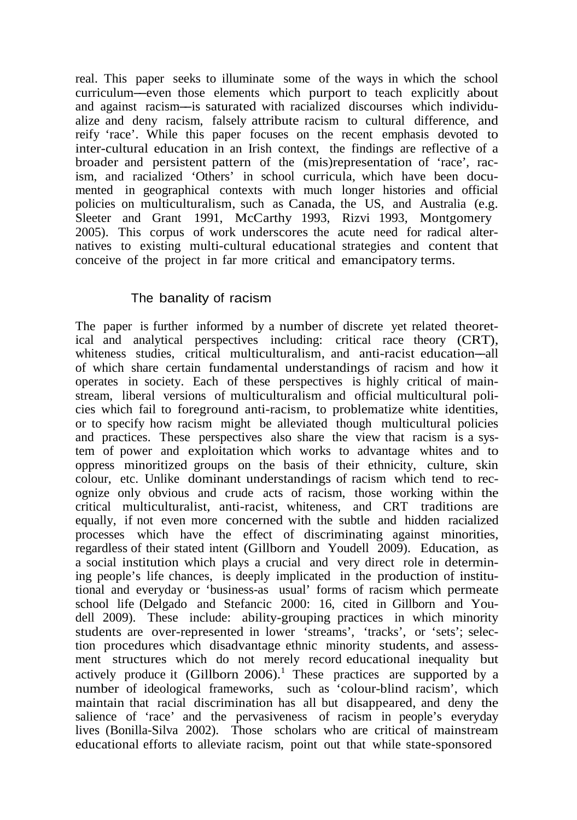real. This paper seeks to illuminate some of the ways in which the school curriculum––even those elements which purport to teach explicitly about and against racism––is saturated with racialized discourses which individualize and deny racism, falsely attribute racism to cultural difference, and reify 'race'. While this paper focuses on the recent emphasis devoted to inter-cultural education in an Irish context, the findings are reflective of a broader and persistent pattern of the (mis)representation of 'race', racism, and racialized 'Others' in school curricula, which have been documented in geographical contexts with much longer histories and official policies on multiculturalism, such as Canada, the US, and Australia (e.g. Sleeter and Grant 1991, McCarthy 1993, Rizvi 1993, Montgomery 2005). This corpus of work underscores the acute need for radical alternatives to existing multi-cultural educational strategies and content that conceive of the project in far more critical and emancipatory terms.

### The banality of racism

The paper is further informed by a number of discrete yet related theoretical and analytical perspectives including: critical race theory (CRT), whiteness studies, critical multiculturalism, and anti-racist education—all of which share certain fundamental understandings of racism and how it operates in society. Each of these perspectives is highly critical of mainstream, liberal versions of multiculturalism and official multicultural policies which fail to foreground anti-racism, to problematize white identities, or to specify how racism might be alleviated though multicultural policies and practices. These perspectives also share the view that racism is a system of power and exploitation which works to advantage whites and to oppress minoritized groups on the basis of their ethnicity, culture, skin colour, etc. Unlike dominant understandings of racism which tend to recognize only obvious and crude acts of racism, those working within the critical multiculturalist, anti-racist, whiteness, and CRT traditions are equally, if not even more concerned with the subtle and hidden racialized processes which have the effect of discriminating against minorities, regardless of their stated intent (Gillborn and Youdell 2009). Education, as a social institution which plays a crucial and very direct role in determining people's life chances, is deeply implicated in the production of institutional and everyday or 'business-as usual' forms of racism which permeate school life (Delgado and Stefancic 2000: 16, cited in Gillborn and Youdell 2009). These include: ability-grouping practices in which minority students are over-represented in lower 'streams', 'tracks', or 'sets'; selection procedures which disadvantage ethnic minority students, and assessment structures which do not merely record educational inequality but actively produce it (Gillborn 2006).<sup>1</sup> These practices are supported by a number of ideological frameworks, such as 'colour-blind racism', which maintain that racial discrimination has all but disappeared, and deny the salience of 'race' and the pervasiveness of racism in people's everyday lives (Bonilla-Silva 2002). Those scholars who are critical of mainstream educational efforts to alleviate racism, point out that while state-sponsored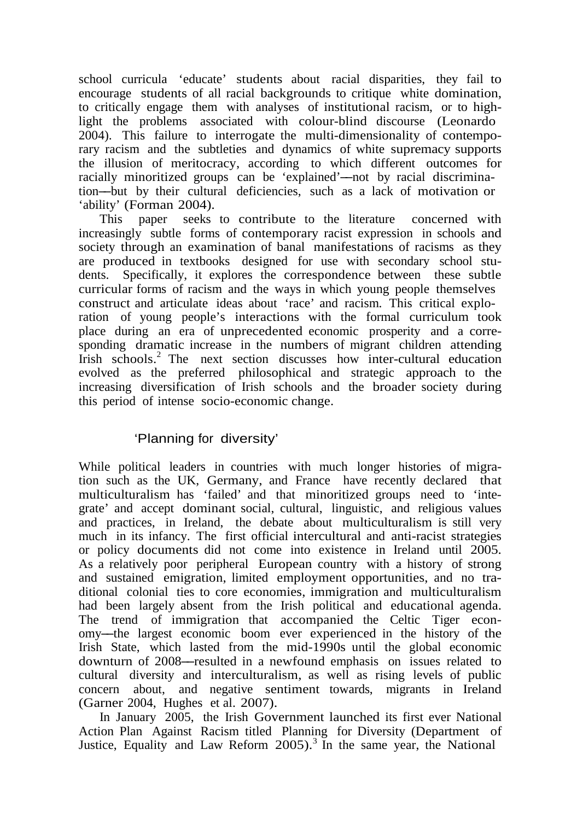school curricula 'educate' students about racial disparities, they fail to encourage students of all racial backgrounds to critique white domination, to critically engage them with analyses of institutional racism, or to highlight the problems associated with colour-blind discourse (Leonardo 2004). This failure to interrogate the multi-dimensionality of contemporary racism and the subtleties and dynamics of white supremacy supports the illusion of meritocracy, according to which different outcomes for racially minoritized groups can be 'explained'––not by racial discrimination––but by their cultural deficiencies, such as a lack of motivation or 'ability' (Forman 2004).

This paper seeks to contribute to the literature concerned with increasingly subtle forms of contemporary racist expression in schools and society through an examination of banal manifestations of racisms as they are produced in textbooks designed for use with secondary school students. Specifically, it explores the correspondence between these subtle curricular forms of racism and the ways in which young people themselves construct and articulate ideas about 'race' and racism. This critical exploration of young people's interactions with the formal curriculum took place during an era of unprecedented economic prosperity and a corresponding dramatic increase in the numbers of migrant children attending Irish schools.<sup>2</sup> The next section discusses how inter-cultural education evolved as the preferred philosophical and strategic approach to the increasing diversification of Irish schools and the broader society during this period of intense socio-economic change.

# 'Planning for diversity'

While political leaders in countries with much longer histories of migration such as the UK, Germany, and France have recently declared that multiculturalism has 'failed' and that minoritized groups need to 'integrate' and accept dominant social, cultural, linguistic, and religious values and practices, in Ireland, the debate about multiculturalism is still very much in its infancy. The first official intercultural and anti-racist strategies or policy documents did not come into existence in Ireland until 2005. As a relatively poor peripheral European country with a history of strong and sustained emigration, limited employment opportunities, and no traditional colonial ties to core economies, immigration and multiculturalism had been largely absent from the Irish political and educational agenda. The trend of immigration that accompanied the Celtic Tiger economy––the largest economic boom ever experienced in the history of the Irish State, which lasted from the mid-1990s until the global economic downturn of 2008––resulted in a newfound emphasis on issues related to cultural diversity and interculturalism, as well as rising levels of public concern about, and negative sentiment towards, migrants in Ireland (Garner 2004, Hughes et al. 2007).

In January 2005, the Irish Government launched its first ever National Action Plan Against Racism titled Planning for Diversity (Department of Justice, Equality and Law Reform 2005).<sup>3</sup> In the same year, the National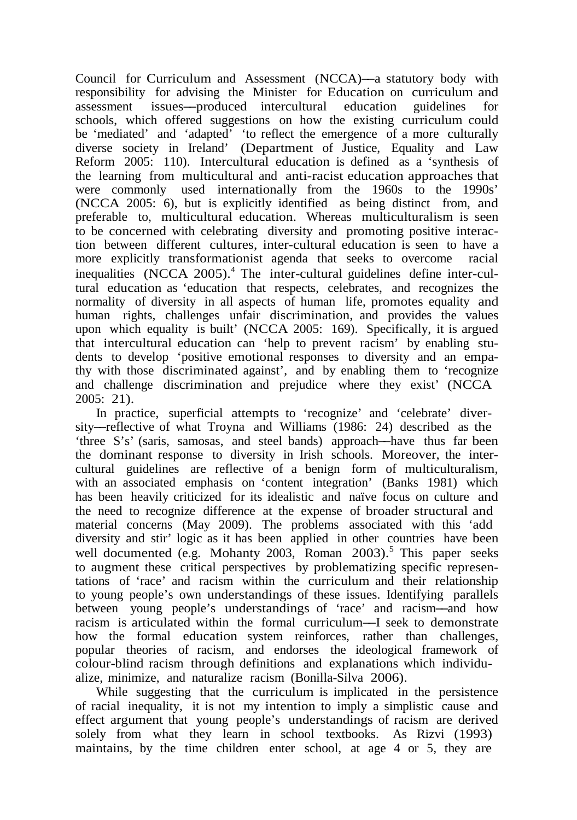Council for Curriculum and Assessment (NCCA)––a statutory body with responsibility for advising the Minister for Education on curriculum and assessment issues––produced intercultural education guidelines for schools, which offered suggestions on how the existing curriculum could be 'mediated' and 'adapted' 'to reflect the emergence of a more culturally diverse society in Ireland' (Department of Justice, Equality and Law Reform 2005: 110). Intercultural education is defined as a 'synthesis of the learning from multicultural and anti-racist education approaches that were commonly used internationally from the 1960s to the 1990s' (NCCA 2005: 6), but is explicitly identified as being distinct from, and preferable to, multicultural education. Whereas multiculturalism is seen to be concerned with celebrating diversity and promoting positive interaction between different cultures, inter-cultural education is seen to have a more explicitly transformationist agenda that seeks to overcome racial inequalities (NCCA 2005). 4 The inter-cultural guidelines define inter-cultural education as 'education that respects, celebrates, and recognizes the normality of diversity in all aspects of human life, promotes equality and human rights, challenges unfair discrimination, and provides the values upon which equality is built' (NCCA 2005: 169). Specifically, it is argued that intercultural education can 'help to prevent racism' by enabling students to develop 'positive emotional responses to diversity and an empathy with those discriminated against', and by enabling them to 'recognize and challenge discrimination and prejudice where they exist' (NCCA 2005: 21).

In practice, superficial attempts to 'recognize' and 'celebrate' diversity––reflective of what Troyna and Williams (1986: 24) described as the 'three S's' (saris, samosas, and steel bands) approach––have thus far been the dominant response to diversity in Irish schools. Moreover, the intercultural guidelines are reflective of a benign form of multiculturalism, with an associated emphasis on 'content integration' (Banks 1981) which has been heavily criticized for its idealistic and naïve focus on culture and the need to recognize difference at the expense of broader structural and material concerns (May 2009). The problems associated with this 'add diversity and stir' logic as it has been applied in other countries have been well documented (e.g. Mohanty 2003, Roman 2003).<sup>5</sup> This paper seeks to augment these critical perspectives by problematizing specific representations of 'race' and racism within the curriculum and their relationship to young people's own understandings of these issues. Identifying parallels between young people's understandings of 'race' and racism––and how racism is articulated within the formal curriculum––I seek to demonstrate how the formal education system reinforces, rather than challenges, popular theories of racism, and endorses the ideological framework of colour-blind racism through definitions and explanations which individualize, minimize, and naturalize racism (Bonilla-Silva 2006).

While suggesting that the curriculum is implicated in the persistence of racial inequality, it is not my intention to imply a simplistic cause and effect argument that young people's understandings of racism are derived solely from what they learn in school textbooks. As Rizvi (1993) maintains, by the time children enter school, at age 4 or 5, they are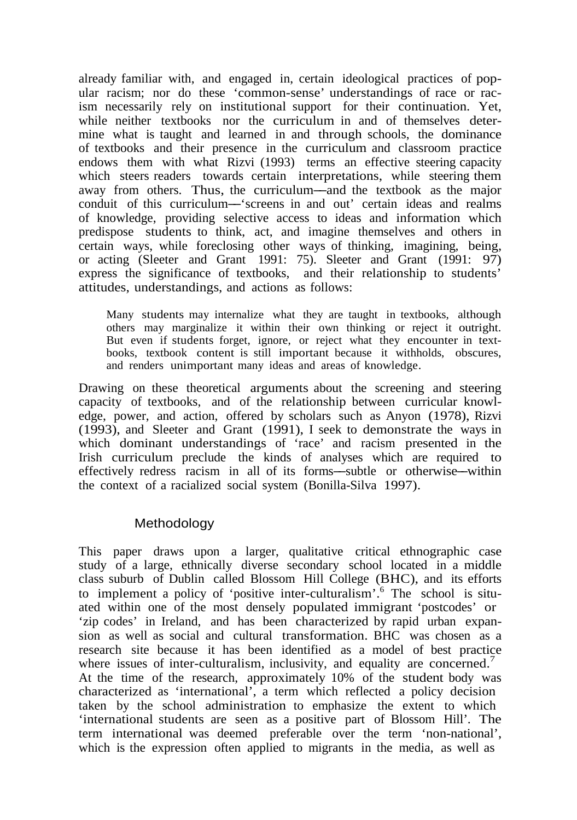already familiar with, and engaged in, certain ideological practices of popular racism; nor do these 'common-sense' understandings of race or racism necessarily rely on institutional support for their continuation. Yet, while neither textbooks nor the curriculum in and of themselves determine what is taught and learned in and through schools, the dominance of textbooks and their presence in the curriculum and classroom practice endows them with what Rizvi (1993) terms an effective steering capacity which steers readers towards certain interpretations, while steering them away from others. Thus, the curriculum––and the textbook as the major conduit of this curriculum––'screens in and out' certain ideas and realms of knowledge, providing selective access to ideas and information which predispose students to think, act, and imagine themselves and others in certain ways, while foreclosing other ways of thinking, imagining, being, or acting (Sleeter and Grant 1991: 75). Sleeter and Grant (1991: 97) express the significance of textbooks, and their relationship to students' attitudes, understandings, and actions as follows:

Many students may internalize what they are taught in textbooks, although others may marginalize it within their own thinking or reject it outright. But even if students forget, ignore, or reject what they encounter in textbooks, textbook content is still important because it withholds, obscures, and renders unimportant many ideas and areas of knowledge.

Drawing on these theoretical arguments about the screening and steering capacity of textbooks, and of the relationship between curricular knowledge, power, and action, offered by scholars such as Anyon (1978), Rizvi (1993), and Sleeter and Grant (1991), I seek to demonstrate the ways in which dominant understandings of 'race' and racism presented in the Irish curriculum preclude the kinds of analyses which are required to effectively redress racism in all of its forms––subtle or otherwise––within the context of a racialized social system (Bonilla-Silva 1997).

## Methodology

This paper draws upon a larger, qualitative critical ethnographic case study of a large, ethnically diverse secondary school located in a middle class suburb of Dublin called Blossom Hill College (BHC), and its efforts to implement a policy of 'positive inter-culturalism'. 6 The school is situated within one of the most densely populated immigrant 'postcodes' or 'zip codes' in Ireland, and has been characterized by rapid urban expansion as well as social and cultural transformation. BHC was chosen as a research site because it has been identified as a model of best practice where issues of inter-culturalism, inclusivity, and equality are concerned.<sup>7</sup> At the time of the research, approximately 10% of the student body was characterized as 'international', a term which reflected a policy decision taken by the school administration to emphasize the extent to which 'international students are seen as a positive part of Blossom Hill'. The term international was deemed preferable over the term 'non-national', which is the expression often applied to migrants in the media, as well as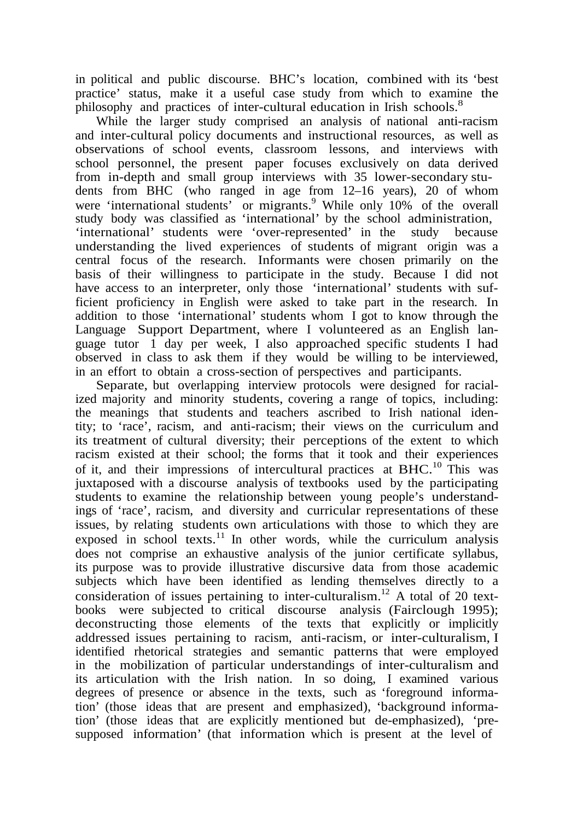in political and public discourse. BHC's location, combined with its 'best practice' status, make it a useful case study from which to examine the philosophy and practices of inter-cultural education in Irish schools.<sup>8</sup>

While the larger study comprised an analysis of national anti-racism and inter-cultural policy documents and instructional resources, as well as observations of school events, classroom lessons, and interviews with school personnel, the present paper focuses exclusively on data derived from in-depth and small group interviews with 35 lower-secondary students from BHC (who ranged in age from 12–16 years), 20 of whom were 'international students' or migrants. 9 While only 10% of the overall study body was classified as 'international' by the school administration, 'international' students were 'over-represented' in the study because understanding the lived experiences of students of migrant origin was a central focus of the research. Informants were chosen primarily on the basis of their willingness to participate in the study. Because I did not have access to an interpreter, only those 'international' students with sufficient proficiency in English were asked to take part in the research. In addition to those 'international' students whom I got to know through the Language Support Department, where I volunteered as an English language tutor 1 day per week, I also approached specific students I had observed in class to ask them if they would be willing to be interviewed, in an effort to obtain a cross-section of perspectives and participants.

Separate, but overlapping interview protocols were designed for racialized majority and minority students, covering a range of topics, including: the meanings that students and teachers ascribed to Irish national identity; to 'race', racism, and anti-racism; their views on the curriculum and its treatment of cultural diversity; their perceptions of the extent to which racism existed at their school; the forms that it took and their experiences of it, and their impressions of intercultural practices at BHC.<sup>10</sup> This was juxtaposed with a discourse analysis of textbooks used by the participating students to examine the relationship between young people's understandings of 'race', racism, and diversity and curricular representations of these issues, by relating students own articulations with those to which they are exposed in school texts.<sup>11</sup> In other words, while the curriculum analysis does not comprise an exhaustive analysis of the junior certificate syllabus, its purpose was to provide illustrative discursive data from those academic subjects which have been identified as lending themselves directly to a consideration of issues pertaining to inter-culturalism.<sup>12</sup> A total of 20 textbooks were subjected to critical discourse analysis (Fairclough 1995); deconstructing those elements of the texts that explicitly or implicitly addressed issues pertaining to racism, anti-racism, or inter-culturalism, I identified rhetorical strategies and semantic patterns that were employed in the mobilization of particular understandings of inter-culturalism and its articulation with the Irish nation. In so doing, I examined various degrees of presence or absence in the texts, such as 'foreground information' (those ideas that are present and emphasized), 'background information' (those ideas that are explicitly mentioned but de-emphasized), 'presupposed information' (that information which is present at the level of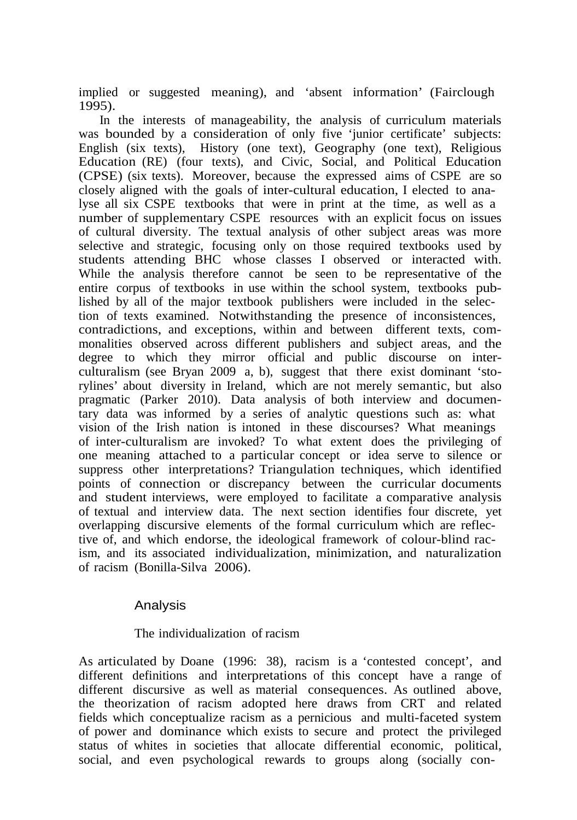implied or suggested meaning), and 'absent information' (Fairclough 1995).

In the interests of manageability, the analysis of curriculum materials was bounded by a consideration of only five 'junior certificate' subjects: English (six texts), History (one text), Geography (one text), Religious Education (RE) (four texts), and Civic, Social, and Political Education (CPSE) (six texts). Moreover, because the expressed aims of CSPE are so closely aligned with the goals of inter-cultural education, I elected to analyse all six CSPE textbooks that were in print at the time, as well as a number of supplementary CSPE resources with an explicit focus on issues of cultural diversity. The textual analysis of other subject areas was more selective and strategic, focusing only on those required textbooks used by students attending BHC whose classes I observed or interacted with. While the analysis therefore cannot be seen to be representative of the entire corpus of textbooks in use within the school system, textbooks published by all of the major textbook publishers were included in the selection of texts examined. Notwithstanding the presence of inconsistences, contradictions, and exceptions, within and between different texts, commonalities observed across different publishers and subject areas, and the degree to which they mirror official and public discourse on interculturalism (see Bryan 2009 a, b), suggest that there exist dominant 'storylines' about diversity in Ireland, which are not merely semantic, but also pragmatic (Parker 2010). Data analysis of both interview and documentary data was informed by a series of analytic questions such as: what vision of the Irish nation is intoned in these discourses? What meanings of inter-culturalism are invoked? To what extent does the privileging of one meaning attached to a particular concept or idea serve to silence or suppress other interpretations? Triangulation techniques, which identified points of connection or discrepancy between the curricular documents and student interviews, were employed to facilitate a comparative analysis of textual and interview data. The next section identifies four discrete, yet overlapping discursive elements of the formal curriculum which are reflective of, and which endorse, the ideological framework of colour-blind racism, and its associated individualization, minimization, and naturalization of racism (Bonilla-Silva 2006).

## Analysis

### The individualization of racism

As articulated by Doane (1996: 38), racism is a 'contested concept', and different definitions and interpretations of this concept have a range of different discursive as well as material consequences. As outlined above, the theorization of racism adopted here draws from CRT and related fields which conceptualize racism as a pernicious and multi-faceted system of power and dominance which exists to secure and protect the privileged status of whites in societies that allocate differential economic, political, social, and even psychological rewards to groups along (socially con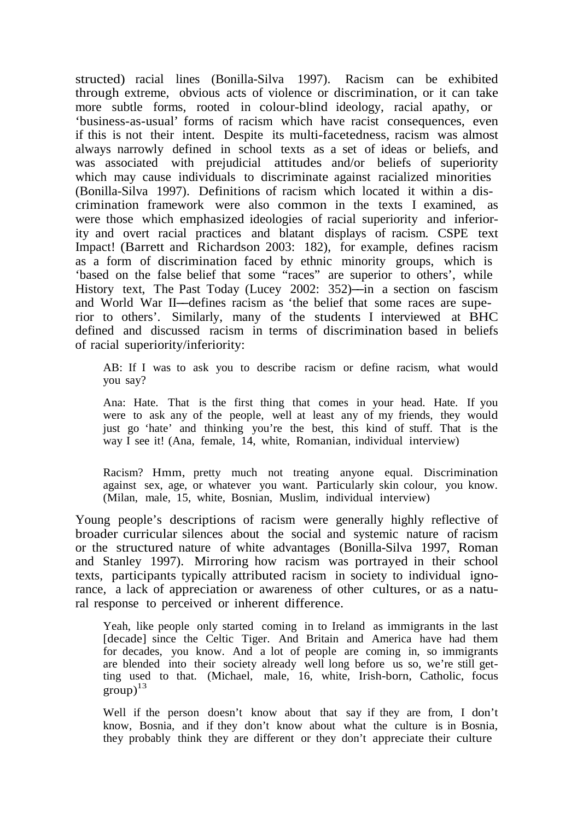structed) racial lines (Bonilla-Silva 1997). Racism can be exhibited through extreme, obvious acts of violence or discrimination, or it can take more subtle forms, rooted in colour-blind ideology, racial apathy, or 'business-as-usual' forms of racism which have racist consequences, even if this is not their intent. Despite its multi-facetedness, racism was almost always narrowly defined in school texts as a set of ideas or beliefs, and was associated with prejudicial attitudes and/or beliefs of superiority which may cause individuals to discriminate against racialized minorities (Bonilla-Silva 1997). Definitions of racism which located it within a discrimination framework were also common in the texts I examined, as were those which emphasized ideologies of racial superiority and inferiority and overt racial practices and blatant displays of racism. CSPE text Impact! (Barrett and Richardson 2003: 182), for example, defines racism as a form of discrimination faced by ethnic minority groups, which is 'based on the false belief that some "races" are superior to others', while History text, The Past Today (Lucey 2002:  $352$ )—in a section on fascism and World War II––defines racism as 'the belief that some races are superior to others'. Similarly, many of the students I interviewed at BHC defined and discussed racism in terms of discrimination based in beliefs of racial superiority/inferiority:

AB: If I was to ask you to describe racism or define racism, what would you say?

Ana: Hate. That is the first thing that comes in your head. Hate. If you were to ask any of the people, well at least any of my friends, they would just go 'hate' and thinking you're the best, this kind of stuff. That is the way I see it! (Ana, female, 14, white, Romanian, individual interview)

Racism? Hmm, pretty much not treating anyone equal. Discrimination against sex, age, or whatever you want. Particularly skin colour, you know. (Milan, male, 15, white, Bosnian, Muslim, individual interview)

Young people's descriptions of racism were generally highly reflective of broader curricular silences about the social and systemic nature of racism or the structured nature of white advantages (Bonilla-Silva 1997, Roman and Stanley 1997). Mirroring how racism was portrayed in their school texts, participants typically attributed racism in society to individual ignorance, a lack of appreciation or awareness of other cultures, or as a natural response to perceived or inherent difference.

Yeah, like people only started coming in to Ireland as immigrants in the last [decade] since the Celtic Tiger. And Britain and America have had them for decades, you know. And a lot of people are coming in, so immigrants are blended into their society already well long before us so, we're still getting used to that. (Michael, male, 16, white, Irish-born, Catholic, focus  $\text{group}^{13}$ 

Well if the person doesn't know about that say if they are from, I don't know, Bosnia, and if they don't know about what the culture is in Bosnia, they probably think they are different or they don't appreciate their culture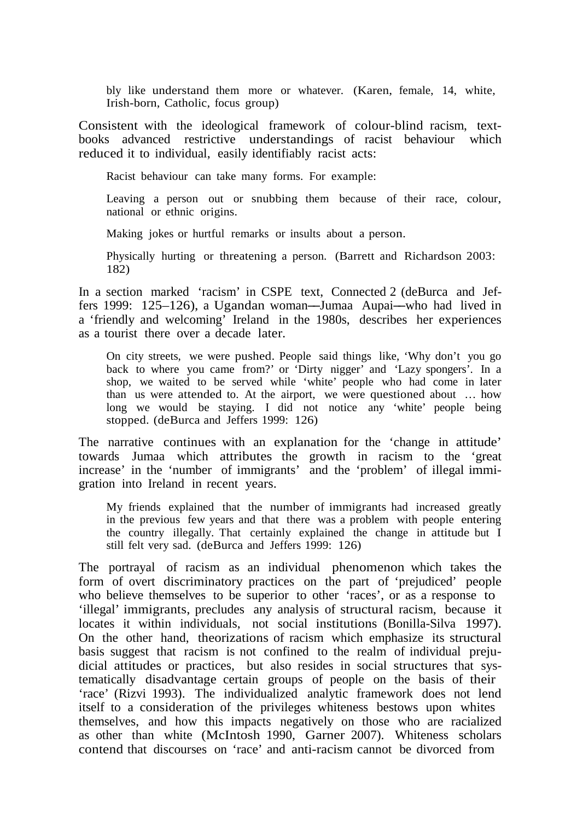bly like understand them more or whatever. (Karen, female, 14, white, Irish-born, Catholic, focus group)

Consistent with the ideological framework of colour-blind racism, textbooks advanced restrictive understandings of racist behaviour which reduced it to individual, easily identifiably racist acts:

Racist behaviour can take many forms. For example:

Leaving a person out or snubbing them because of their race, colour, national or ethnic origins.

Making jokes or hurtful remarks or insults about a person.

Physically hurting or threatening a person. (Barrett and Richardson 2003: 182)

In a section marked 'racism' in CSPE text, Connected 2 (deBurca and Jeffers 1999: 125–126), a Ugandan woman––Jumaa Aupai––who had lived in a 'friendly and welcoming' Ireland in the 1980s, describes her experiences as a tourist there over a decade later.

On city streets, we were pushed. People said things like, 'Why don't you go back to where you came from?' or 'Dirty nigger' and 'Lazy spongers'. In a shop, we waited to be served while 'white' people who had come in later than us were attended to. At the airport, we were questioned about … how long we would be staying. I did not notice any 'white' people being stopped. (deBurca and Jeffers 1999: 126)

The narrative continues with an explanation for the 'change in attitude' towards Jumaa which attributes the growth in racism to the 'great increase' in the 'number of immigrants' and the 'problem' of illegal immigration into Ireland in recent years.

My friends explained that the number of immigrants had increased greatly in the previous few years and that there was a problem with people entering the country illegally. That certainly explained the change in attitude but I still felt very sad. (deBurca and Jeffers 1999: 126)

The portrayal of racism as an individual phenomenon which takes the form of overt discriminatory practices on the part of 'prejudiced' people who believe themselves to be superior to other 'races', or as a response to 'illegal' immigrants, precludes any analysis of structural racism, because it locates it within individuals, not social institutions (Bonilla-Silva 1997). On the other hand, theorizations of racism which emphasize its structural basis suggest that racism is not confined to the realm of individual prejudicial attitudes or practices, but also resides in social structures that systematically disadvantage certain groups of people on the basis of their 'race' (Rizvi 1993). The individualized analytic framework does not lend itself to a consideration of the privileges whiteness bestows upon whites themselves, and how this impacts negatively on those who are racialized as other than white (McIntosh 1990, Garner 2007). Whiteness scholars contend that discourses on 'race' and anti-racism cannot be divorced from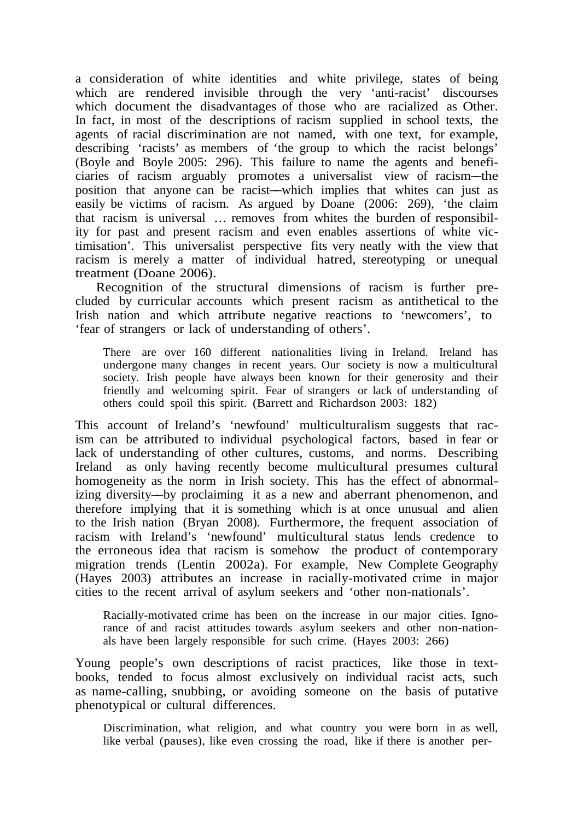a consideration of white identities and white privilege, states of being which are rendered invisible through the very 'anti-racist' discourses which document the disadvantages of those who are racialized as Other. In fact, in most of the descriptions of racism supplied in school texts, the agents of racial discrimination are not named, with one text, for example, describing 'racists' as members of 'the group to which the racist belongs' (Boyle and Boyle 2005: 296). This failure to name the agents and beneficiaries of racism arguably promotes a universalist view of racism––the position that anyone can be racist––which implies that whites can just as easily be victims of racism. As argued by Doane (2006: 269), 'the claim that racism is universal … removes from whites the burden of responsibility for past and present racism and even enables assertions of white victimisation'. This universalist perspective fits very neatly with the view that racism is merely a matter of individual hatred, stereotyping or unequal treatment (Doane 2006).

Recognition of the structural dimensions of racism is further precluded by curricular accounts which present racism as antithetical to the Irish nation and which attribute negative reactions to 'newcomers', to 'fear of strangers or lack of understanding of others'.

There are over 160 different nationalities living in Ireland. Ireland has undergone many changes in recent years. Our society is now a multicultural society. Irish people have always been known for their generosity and their friendly and welcoming spirit. Fear of strangers or lack of understanding of others could spoil this spirit. (Barrett and Richardson 2003: 182)

This account of Ireland's 'newfound' multiculturalism suggests that racism can be attributed to individual psychological factors, based in fear or lack of understanding of other cultures, customs, and norms. Describing Ireland as only having recently become multicultural presumes cultural homogeneity as the norm in Irish society. This has the effect of abnormalizing diversity––by proclaiming it as a new and aberrant phenomenon, and therefore implying that it is something which is at once unusual and alien to the Irish nation (Bryan 2008). Furthermore, the frequent association of racism with Ireland's 'newfound' multicultural status lends credence to the erroneous idea that racism is somehow the product of contemporary migration trends (Lentin 2002a). For example, New Complete Geography (Hayes 2003) attributes an increase in racially-motivated crime in major cities to the recent arrival of asylum seekers and 'other non-nationals'.

Racially-motivated crime has been on the increase in our major cities. Ignorance of and racist attitudes towards asylum seekers and other non-nationals have been largely responsible for such crime. (Hayes 2003: 266)

Young people's own descriptions of racist practices, like those in textbooks, tended to focus almost exclusively on individual racist acts, such as name-calling, snubbing, or avoiding someone on the basis of putative phenotypical or cultural differences.

Discrimination, what religion, and what country you were born in as well, like verbal (pauses), like even crossing the road, like if there is another per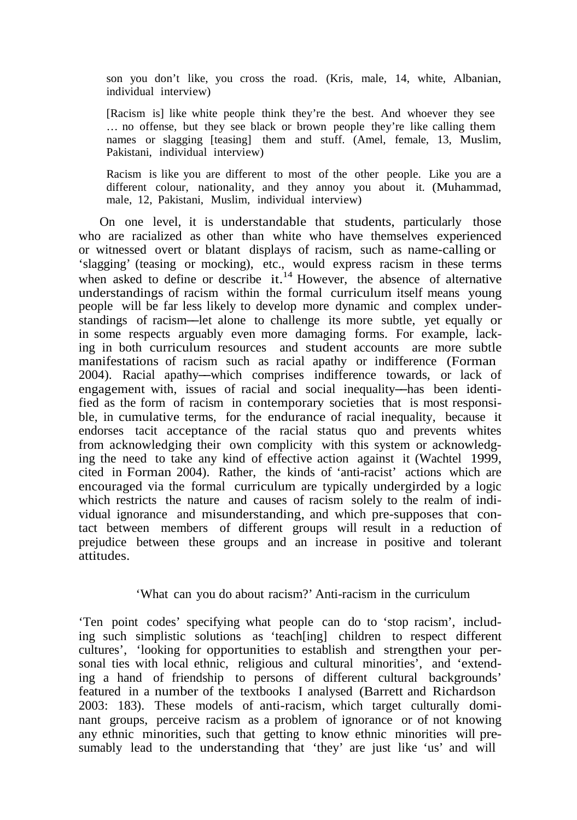son you don't like, you cross the road. (Kris, male, 14, white, Albanian, individual interview)

[Racism is] like white people think they're the best. And whoever they see … no offense, but they see black or brown people they're like calling them names or slagging [teasing] them and stuff. (Amel, female, 13, Muslim, Pakistani, individual interview)

Racism is like you are different to most of the other people. Like you are a different colour, nationality, and they annoy you about it. (Muhammad, male, 12, Pakistani, Muslim, individual interview)

On one level, it is understandable that students, particularly those who are racialized as other than white who have themselves experienced or witnessed overt or blatant displays of racism, such as name-calling or 'slagging' (teasing or mocking), etc., would express racism in these terms when asked to define or describe it.<sup>14</sup> However, the absence of alternative understandings of racism within the formal curriculum itself means young people will be far less likely to develop more dynamic and complex understandings of racism––let alone to challenge its more subtle, yet equally or in some respects arguably even more damaging forms. For example, lacking in both curriculum resources and student accounts are more subtle manifestations of racism such as racial apathy or indifference (Forman 2004). Racial apathy––which comprises indifference towards, or lack of engagement with, issues of racial and social inequality––has been identified as the form of racism in contemporary societies that is most responsible, in cumulative terms, for the endurance of racial inequality, because it endorses tacit acceptance of the racial status quo and prevents whites from acknowledging their own complicity with this system or acknowledging the need to take any kind of effective action against it (Wachtel 1999, cited in Forman 2004). Rather, the kinds of 'anti-racist' actions which are encouraged via the formal curriculum are typically undergirded by a logic which restricts the nature and causes of racism solely to the realm of individual ignorance and misunderstanding, and which pre-supposes that contact between members of different groups will result in a reduction of prejudice between these groups and an increase in positive and tolerant attitudes.

#### 'What can you do about racism?' Anti-racism in the curriculum

'Ten point codes' specifying what people can do to 'stop racism', including such simplistic solutions as 'teach[ing] children to respect different cultures', 'looking for opportunities to establish and strengthen your personal ties with local ethnic, religious and cultural minorities', and 'extending a hand of friendship to persons of different cultural backgrounds' featured in a number of the textbooks I analysed (Barrett and Richardson 2003: 183). These models of anti-racism, which target culturally dominant groups, perceive racism as a problem of ignorance or of not knowing any ethnic minorities, such that getting to know ethnic minorities will presumably lead to the understanding that 'they' are just like 'us' and will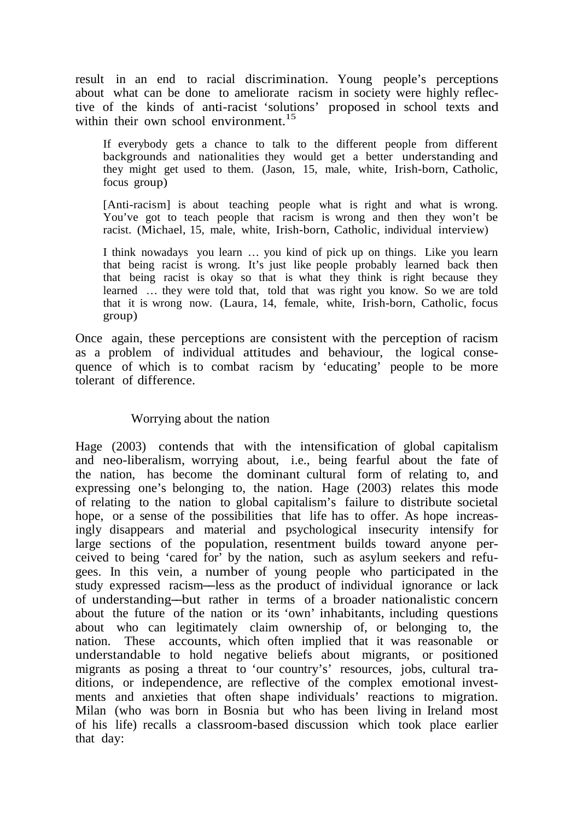result in an end to racial discrimination. Young people's perceptions about what can be done to ameliorate racism in society were highly reflective of the kinds of anti-racist 'solutions' proposed in school texts and within their own school environment.<sup>15</sup>

If everybody gets a chance to talk to the different people from different backgrounds and nationalities they would get a better understanding and they might get used to them. (Jason, 15, male, white, Irish-born, Catholic, focus group)

[Anti-racism] is about teaching people what is right and what is wrong. You've got to teach people that racism is wrong and then they won't be racist. (Michael, 15, male, white, Irish-born, Catholic, individual interview)

I think nowadays you learn … you kind of pick up on things. Like you learn that being racist is wrong. It's just like people probably learned back then that being racist is okay so that is what they think is right because they learned … they were told that, told that was right you know. So we are told that it is wrong now. (Laura, 14, female, white, Irish-born, Catholic, focus group)

Once again, these perceptions are consistent with the perception of racism as a problem of individual attitudes and behaviour, the logical consequence of which is to combat racism by 'educating' people to be more tolerant of difference.

#### Worrying about the nation

Hage (2003) contends that with the intensification of global capitalism and neo-liberalism, worrying about, i.e., being fearful about the fate of the nation, has become the dominant cultural form of relating to, and expressing one's belonging to, the nation. Hage (2003) relates this mode of relating to the nation to global capitalism's failure to distribute societal hope, or a sense of the possibilities that life has to offer. As hope increasingly disappears and material and psychological insecurity intensify for large sections of the population, resentment builds toward anyone perceived to being 'cared for' by the nation, such as asylum seekers and refugees. In this vein, a number of young people who participated in the study expressed racism––less as the product of individual ignorance or lack of understanding––but rather in terms of a broader nationalistic concern about the future of the nation or its 'own' inhabitants, including questions about who can legitimately claim ownership of, or belonging to, the nation. These accounts, which often implied that it was reasonable or understandable to hold negative beliefs about migrants, or positioned migrants as posing a threat to 'our country's' resources, jobs, cultural traditions, or independence, are reflective of the complex emotional investments and anxieties that often shape individuals' reactions to migration. Milan (who was born in Bosnia but who has been living in Ireland most of his life) recalls a classroom-based discussion which took place earlier that day: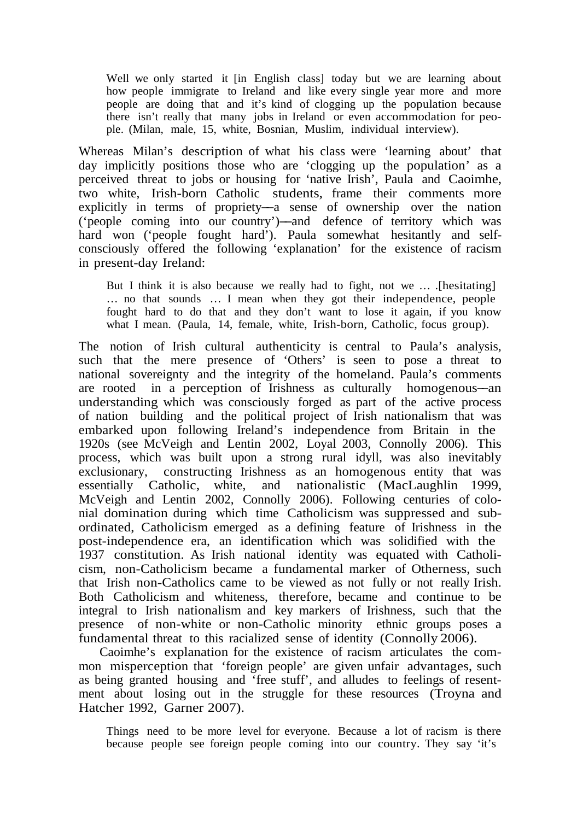Well we only started it [in English class] today but we are learning about how people immigrate to Ireland and like every single year more and more people are doing that and it's kind of clogging up the population because there isn't really that many jobs in Ireland or even accommodation for people. (Milan, male, 15, white, Bosnian, Muslim, individual interview).

Whereas Milan's description of what his class were 'learning about' that day implicitly positions those who are 'clogging up the population' as a perceived threat to jobs or housing for 'native Irish', Paula and Caoimhe, two white, Irish-born Catholic students, frame their comments more explicitly in terms of propriety––a sense of ownership over the nation ('people coming into our country')––and defence of territory which was hard won ('people fought hard'). Paula somewhat hesitantly and selfconsciously offered the following 'explanation' for the existence of racism in present-day Ireland:

But I think it is also because we really had to fight, not we ... [hesitating] … no that sounds … I mean when they got their independence, people fought hard to do that and they don't want to lose it again, if you know what I mean. (Paula, 14, female, white, Irish-born, Catholic, focus group).

The notion of Irish cultural authenticity is central to Paula's analysis, such that the mere presence of 'Others' is seen to pose a threat to national sovereignty and the integrity of the homeland. Paula's comments are rooted in a perception of Irishness as culturally homogenous––an understanding which was consciously forged as part of the active process of nation building and the political project of Irish nationalism that was embarked upon following Ireland's independence from Britain in the 1920s (see McVeigh and Lentin 2002, Loyal 2003, Connolly 2006). This process, which was built upon a strong rural idyll, was also inevitably exclusionary, constructing Irishness as an homogenous entity that was essentially Catholic, white, and nationalistic (MacLaughlin 1999, McVeigh and Lentin 2002, Connolly 2006). Following centuries of colonial domination during which time Catholicism was suppressed and subordinated, Catholicism emerged as a defining feature of Irishness in the post-independence era, an identification which was solidified with the 1937 constitution. As Irish national identity was equated with Catholicism, non-Catholicism became a fundamental marker of Otherness, such that Irish non-Catholics came to be viewed as not fully or not really Irish. Both Catholicism and whiteness, therefore, became and continue to be integral to Irish nationalism and key markers of Irishness, such that the presence of non-white or non-Catholic minority ethnic groups poses a fundamental threat to this racialized sense of identity (Connolly 2006).

Caoimhe's explanation for the existence of racism articulates the common misperception that 'foreign people' are given unfair advantages, such as being granted housing and 'free stuff', and alludes to feelings of resentment about losing out in the struggle for these resources (Troyna and Hatcher 1992, Garner 2007).

Things need to be more level for everyone. Because a lot of racism is there because people see foreign people coming into our country. They say 'it's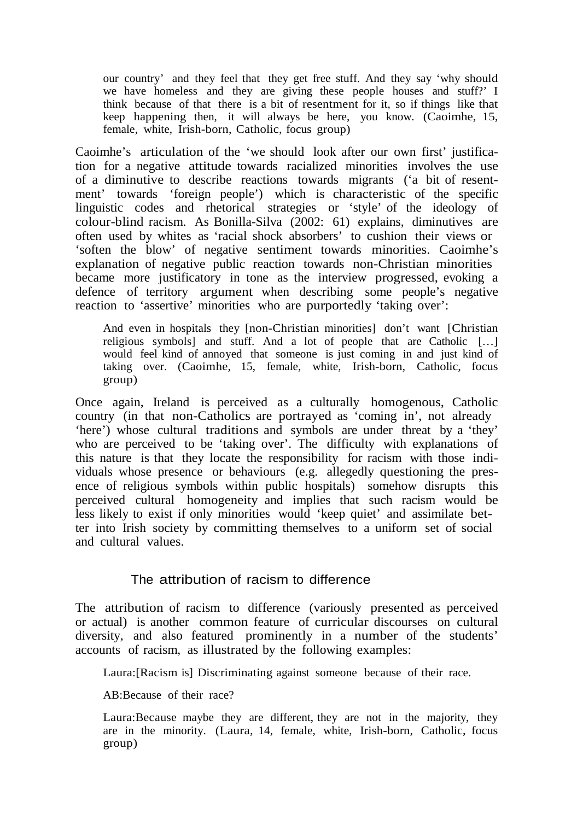our country' and they feel that they get free stuff. And they say 'why should we have homeless and they are giving these people houses and stuff?' I think because of that there is a bit of resentment for it, so if things like that keep happening then, it will always be here, you know. (Caoimhe, 15, female, white, Irish-born, Catholic, focus group)

Caoimhe's articulation of the 'we should look after our own first' justification for a negative attitude towards racialized minorities involves the use of a diminutive to describe reactions towards migrants ('a bit of resentment' towards 'foreign people') which is characteristic of the specific linguistic codes and rhetorical strategies or 'style' of the ideology of colour-blind racism. As Bonilla-Silva (2002: 61) explains, diminutives are often used by whites as 'racial shock absorbers' to cushion their views or 'soften the blow' of negative sentiment towards minorities. Caoimhe's explanation of negative public reaction towards non-Christian minorities became more justificatory in tone as the interview progressed, evoking a defence of territory argument when describing some people's negative reaction to 'assertive' minorities who are purportedly 'taking over':

And even in hospitals they [non-Christian minorities] don't want [Christian religious symbols] and stuff. And a lot of people that are Catholic […] would feel kind of annoyed that someone is just coming in and just kind of taking over. (Caoimhe, 15, female, white, Irish-born, Catholic, focus group)

Once again, Ireland is perceived as a culturally homogenous, Catholic country (in that non-Catholics are portrayed as 'coming in', not already 'here') whose cultural traditions and symbols are under threat by a 'they' who are perceived to be 'taking over'. The difficulty with explanations of this nature is that they locate the responsibility for racism with those individuals whose presence or behaviours (e.g. allegedly questioning the presence of religious symbols within public hospitals) somehow disrupts this perceived cultural homogeneity and implies that such racism would be less likely to exist if only minorities would 'keep quiet' and assimilate better into Irish society by committing themselves to a uniform set of social and cultural values.

### The attribution of racism to difference

The attribution of racism to difference (variously presented as perceived or actual) is another common feature of curricular discourses on cultural diversity, and also featured prominently in a number of the students' accounts of racism, as illustrated by the following examples:

Laura:[Racism is] Discriminating against someone because of their race.

AB:Because of their race?

Laura:Because maybe they are different, they are not in the majority, they are in the minority. (Laura, 14, female, white, Irish-born, Catholic, focus group)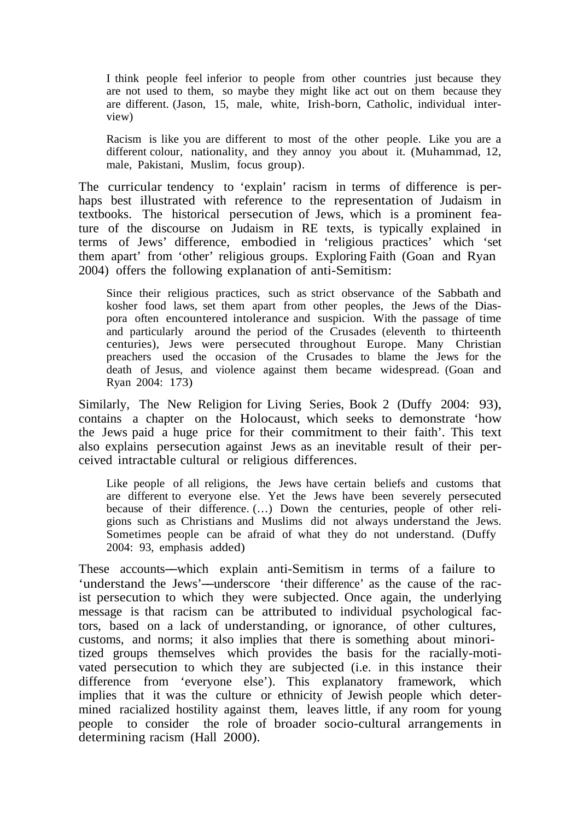I think people feel inferior to people from other countries just because they are not used to them, so maybe they might like act out on them because they are different. (Jason, 15, male, white, Irish-born, Catholic, individual interview)

Racism is like you are different to most of the other people. Like you are a different colour, nationality, and they annoy you about it. (Muhammad, 12, male, Pakistani, Muslim, focus group).

The curricular tendency to 'explain' racism in terms of difference is perhaps best illustrated with reference to the representation of Judaism in textbooks. The historical persecution of Jews, which is a prominent feature of the discourse on Judaism in RE texts, is typically explained in terms of Jews' difference, embodied in 'religious practices' which 'set them apart' from 'other' religious groups. Exploring Faith (Goan and Ryan 2004) offers the following explanation of anti-Semitism:

Since their religious practices, such as strict observance of the Sabbath and kosher food laws, set them apart from other peoples, the Jews of the Diaspora often encountered intolerance and suspicion. With the passage of time and particularly around the period of the Crusades (eleventh to thirteenth centuries), Jews were persecuted throughout Europe. Many Christian preachers used the occasion of the Crusades to blame the Jews for the death of Jesus, and violence against them became widespread. (Goan and Ryan 2004: 173)

Similarly, The New Religion for Living Series, Book 2 (Duffy 2004: 93), contains a chapter on the Holocaust, which seeks to demonstrate 'how the Jews paid a huge price for their commitment to their faith'. This text also explains persecution against Jews as an inevitable result of their perceived intractable cultural or religious differences.

Like people of all religions, the Jews have certain beliefs and customs that are different to everyone else. Yet the Jews have been severely persecuted because of their difference. (...) Down the centuries, people of other religions such as Christians and Muslims did not always understand the Jews. Sometimes people can be afraid of what they do not understand. (Duffy 2004: 93, emphasis added)

These accounts––which explain anti-Semitism in terms of a failure to 'understand the Jews'––underscore 'their difference' as the cause of the racist persecution to which they were subjected. Once again, the underlying message is that racism can be attributed to individual psychological factors, based on a lack of understanding, or ignorance, of other cultures, customs, and norms; it also implies that there is something about minoritized groups themselves which provides the basis for the racially-motivated persecution to which they are subjected (i.e. in this instance their difference from 'everyone else'). This explanatory framework, which implies that it was the culture or ethnicity of Jewish people which determined racialized hostility against them, leaves little, if any room for young people to consider the role of broader socio-cultural arrangements in determining racism (Hall 2000).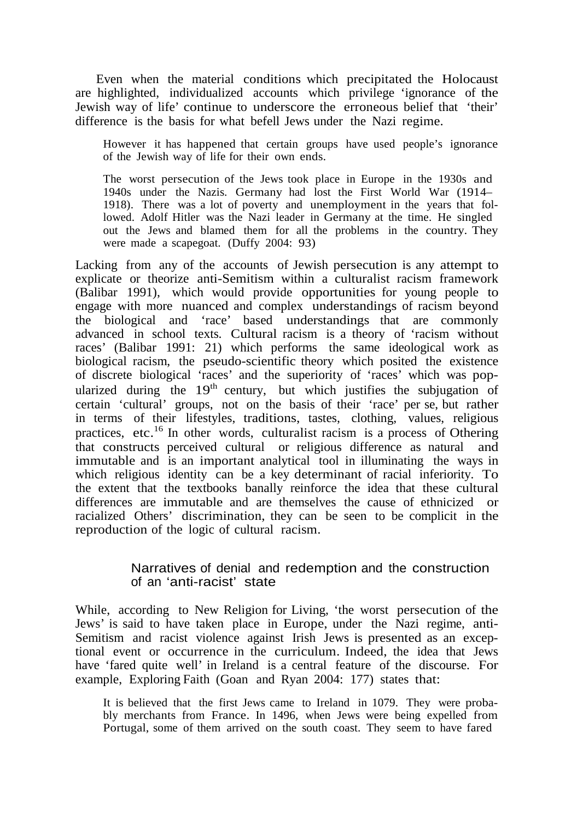Even when the material conditions which precipitated the Holocaust are highlighted, individualized accounts which privilege 'ignorance of the Jewish way of life' continue to underscore the erroneous belief that 'their' difference is the basis for what befell Jews under the Nazi regime.

However it has happened that certain groups have used people's ignorance of the Jewish way of life for their own ends.

The worst persecution of the Jews took place in Europe in the 1930s and 1940s under the Nazis. Germany had lost the First World War (1914– 1918). There was a lot of poverty and unemployment in the years that followed. Adolf Hitler was the Nazi leader in Germany at the time. He singled out the Jews and blamed them for all the problems in the country. They were made a scapegoat. (Duffy 2004: 93)

Lacking from any of the accounts of Jewish persecution is any attempt to explicate or theorize anti-Semitism within a culturalist racism framework (Balibar 1991), which would provide opportunities for young people to engage with more nuanced and complex understandings of racism beyond the biological and 'race' based understandings that are commonly advanced in school texts. Cultural racism is a theory of 'racism without races' (Balibar 1991: 21) which performs the same ideological work as biological racism, the pseudo-scientific theory which posited the existence of discrete biological 'races' and the superiority of 'races' which was popularized during the  $19<sup>th</sup>$  century, but which justifies the subjugation of certain 'cultural' groups, not on the basis of their 'race' per se, but rather in terms of their lifestyles, traditions, tastes, clothing, values, religious practices, etc.<sup>16</sup> In other words, culturalist racism is a process of Othering that constructs perceived cultural or religious difference as natural and immutable and is an important analytical tool in illuminating the ways in which religious identity can be a key determinant of racial inferiority. To the extent that the textbooks banally reinforce the idea that these cultural differences are immutable and are themselves the cause of ethnicized or racialized Others' discrimination, they can be seen to be complicit in the reproduction of the logic of cultural racism.

### Narratives of denial and redemption and the construction of an 'anti-racist' state

While, according to New Religion for Living, 'the worst persecution of the Jews' is said to have taken place in Europe, under the Nazi regime, anti-Semitism and racist violence against Irish Jews is presented as an exceptional event or occurrence in the curriculum. Indeed, the idea that Jews have 'fared quite well' in Ireland is a central feature of the discourse. For example, Exploring Faith (Goan and Ryan 2004: 177) states that:

It is believed that the first Jews came to Ireland in 1079. They were probably merchants from France. In 1496, when Jews were being expelled from Portugal, some of them arrived on the south coast. They seem to have fared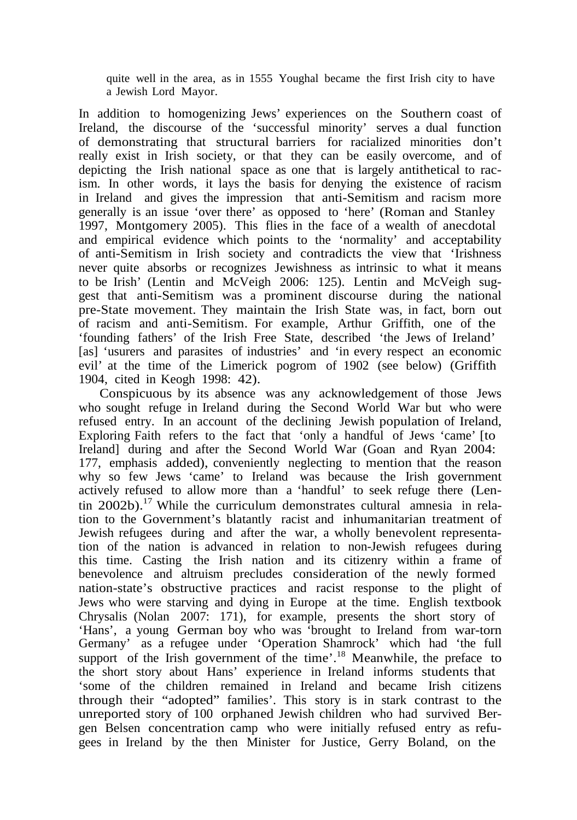quite well in the area, as in 1555 Youghal became the first Irish city to have a Jewish Lord Mayor.

In addition to homogenizing Jews' experiences on the Southern coast of Ireland, the discourse of the 'successful minority' serves a dual function of demonstrating that structural barriers for racialized minorities don't really exist in Irish society, or that they can be easily overcome, and of depicting the Irish national space as one that is largely antithetical to racism. In other words, it lays the basis for denying the existence of racism in Ireland and gives the impression that anti-Semitism and racism more generally is an issue 'over there' as opposed to 'here' (Roman and Stanley 1997, Montgomery 2005). This flies in the face of a wealth of anecdotal and empirical evidence which points to the 'normality' and acceptability of anti-Semitism in Irish society and contradicts the view that 'Irishness never quite absorbs or recognizes Jewishness as intrinsic to what it means to be Irish' (Lentin and McVeigh 2006: 125). Lentin and McVeigh suggest that anti-Semitism was a prominent discourse during the national pre-State movement. They maintain the Irish State was, in fact, born out of racism and anti-Semitism. For example, Arthur Griffith, one of the 'founding fathers' of the Irish Free State, described 'the Jews of Ireland' [as] 'usurers and parasites of industries' and 'in every respect an economic evil' at the time of the Limerick pogrom of 1902 (see below) (Griffith 1904, cited in Keogh 1998: 42).

Conspicuous by its absence was any acknowledgement of those Jews who sought refuge in Ireland during the Second World War but who were refused entry. In an account of the declining Jewish population of Ireland, Exploring Faith refers to the fact that 'only a handful of Jews 'came' [to Ireland] during and after the Second World War (Goan and Ryan 2004: 177, emphasis added), conveniently neglecting to mention that the reason why so few Jews 'came' to Ireland was because the Irish government actively refused to allow more than a 'handful' to seek refuge there (Lentin  $2002b$ ).<sup>17</sup> While the curriculum demonstrates cultural amnesia in relation to the Government's blatantly racist and inhumanitarian treatment of Jewish refugees during and after the war, a wholly benevolent representation of the nation is advanced in relation to non-Jewish refugees during this time. Casting the Irish nation and its citizenry within a frame of benevolence and altruism precludes consideration of the newly formed nation-state's obstructive practices and racist response to the plight of Jews who were starving and dying in Europe at the time. English textbook Chrysalis (Nolan 2007: 171), for example, presents the short story of 'Hans', a young German boy who was 'brought to Ireland from war-torn Germany' as a refugee under 'Operation Shamrock' which had 'the full support of the Irish government of the time'.<sup>18</sup> Meanwhile, the preface to the short story about Hans' experience in Ireland informs students that 'some of the children remained in Ireland and became Irish citizens through their "adopted" families'. This story is in stark contrast to the unreported story of 100 orphaned Jewish children who had survived Bergen Belsen concentration camp who were initially refused entry as refugees in Ireland by the then Minister for Justice, Gerry Boland, on the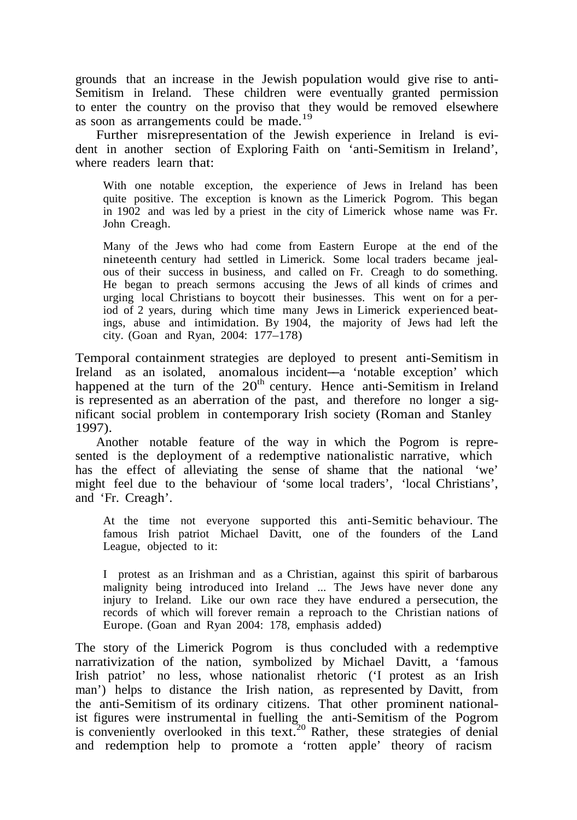grounds that an increase in the Jewish population would give rise to anti-Semitism in Ireland. These children were eventually granted permission to enter the country on the proviso that they would be removed elsewhere as soon as arrangements could be made.<sup>19</sup>

Further misrepresentation of the Jewish experience in Ireland is evident in another section of Exploring Faith on 'anti-Semitism in Ireland', where readers learn that:

With one notable exception, the experience of Jews in Ireland has been quite positive. The exception is known as the Limerick Pogrom. This began in 1902 and was led by a priest in the city of Limerick whose name was Fr. John Creagh.

Many of the Jews who had come from Eastern Europe at the end of the nineteenth century had settled in Limerick. Some local traders became jealous of their success in business, and called on Fr. Creagh to do something. He began to preach sermons accusing the Jews of all kinds of crimes and urging local Christians to boycott their businesses. This went on for a period of 2 years, during which time many Jews in Limerick experienced beatings, abuse and intimidation. By 1904, the majority of Jews had left the city. (Goan and Ryan, 2004: 177–178)

Temporal containment strategies are deployed to present anti-Semitism in Ireland as an isolated, anomalous incident—a 'notable exception' which happened at the turn of the  $20<sup>th</sup>$  century. Hence anti-Semitism in Ireland is represented as an aberration of the past, and therefore no longer a significant social problem in contemporary Irish society (Roman and Stanley 1997).

Another notable feature of the way in which the Pogrom is represented is the deployment of a redemptive nationalistic narrative, which has the effect of alleviating the sense of shame that the national 'we' might feel due to the behaviour of 'some local traders', 'local Christians', and 'Fr. Creagh'.

At the time not everyone supported this anti-Semitic behaviour. The famous Irish patriot Michael Davitt, one of the founders of the Land League, objected to it:

I protest as an Irishman and as a Christian, against this spirit of barbarous malignity being introduced into Ireland ... The Jews have never done any injury to Ireland. Like our own race they have endured a persecution, the records of which will forever remain a reproach to the Christian nations of Europe. (Goan and Ryan 2004: 178, emphasis added)

The story of the Limerick Pogrom is thus concluded with a redemptive narrativization of the nation, symbolized by Michael Davitt, a 'famous Irish patriot' no less, whose nationalist rhetoric ('I protest as an Irish man') helps to distance the Irish nation, as represented by Davitt, from the anti-Semitism of its ordinary citizens. That other prominent nationalist figures were instrumental in fuelling the anti-Semitism of the Pogrom is conveniently overlooked in this text.<sup>20</sup> Rather, these strategies of denial and redemption help to promote a 'rotten apple' theory of racism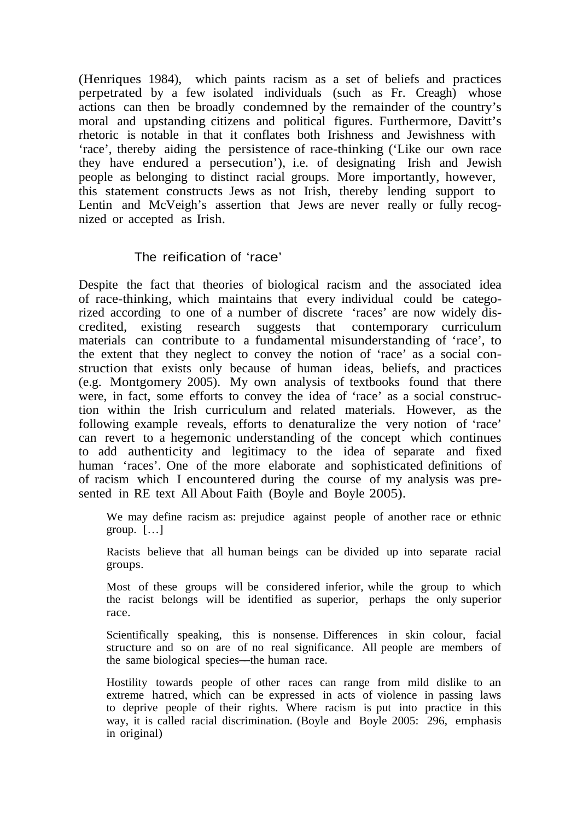(Henriques 1984), which paints racism as a set of beliefs and practices perpetrated by a few isolated individuals (such as Fr. Creagh) whose actions can then be broadly condemned by the remainder of the country's moral and upstanding citizens and political figures. Furthermore, Davitt's rhetoric is notable in that it conflates both Irishness and Jewishness with 'race', thereby aiding the persistence of race-thinking ('Like our own race they have endured a persecution'), i.e. of designating Irish and Jewish people as belonging to distinct racial groups. More importantly, however, this statement constructs Jews as not Irish, thereby lending support to Lentin and McVeigh's assertion that Jews are never really or fully recognized or accepted as Irish.

## The reification of 'race'

Despite the fact that theories of biological racism and the associated idea of race-thinking, which maintains that every individual could be categorized according to one of a number of discrete 'races' are now widely discredited, existing research suggests that contemporary curriculum materials can contribute to a fundamental misunderstanding of 'race', to the extent that they neglect to convey the notion of 'race' as a social construction that exists only because of human ideas, beliefs, and practices (e.g. Montgomery 2005). My own analysis of textbooks found that there were, in fact, some efforts to convey the idea of 'race' as a social construction within the Irish curriculum and related materials. However, as the following example reveals, efforts to denaturalize the very notion of 'race' can revert to a hegemonic understanding of the concept which continues to add authenticity and legitimacy to the idea of separate and fixed human 'races'. One of the more elaborate and sophisticated definitions of of racism which I encountered during the course of my analysis was presented in RE text All About Faith (Boyle and Boyle 2005).

We may define racism as: prejudice against people of another race or ethnic group. […]

Racists believe that all human beings can be divided up into separate racial groups.

Most of these groups will be considered inferior, while the group to which the racist belongs will be identified as superior, perhaps the only superior race.

Scientifically speaking, this is nonsense. Differences in skin colour, facial structure and so on are of no real significance. All people are members of the same biological species––the human race.

Hostility towards people of other races can range from mild dislike to an extreme hatred, which can be expressed in acts of violence in passing laws to deprive people of their rights. Where racism is put into practice in this way, it is called racial discrimination. (Boyle and Boyle 2005: 296, emphasis in original)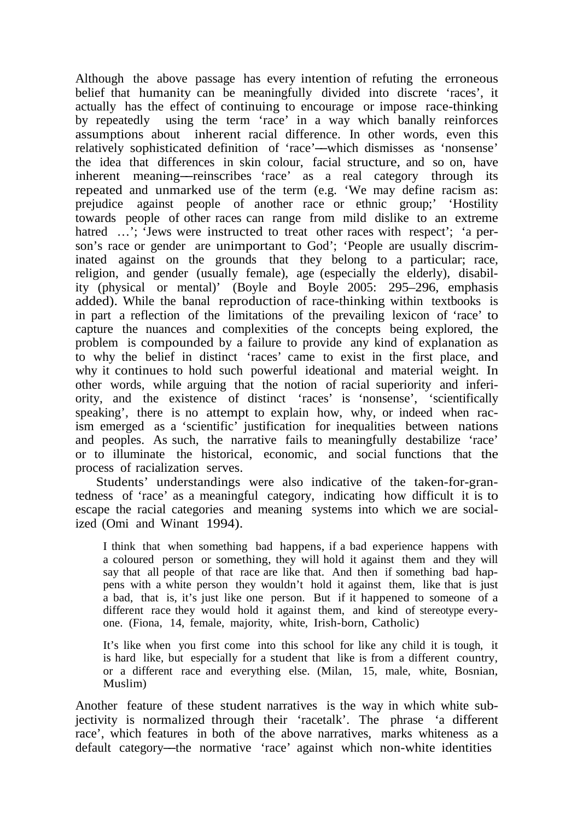Although the above passage has every intention of refuting the erroneous belief that humanity can be meaningfully divided into discrete 'races', it actually has the effect of continuing to encourage or impose race-thinking by repeatedly using the term 'race' in a way which banally reinforces assumptions about inherent racial difference. In other words, even this relatively sophisticated definition of 'race'––which dismisses as 'nonsense' the idea that differences in skin colour, facial structure, and so on, have inherent meaning––reinscribes 'race' as a real category through its repeated and unmarked use of the term (e.g. 'We may define racism as: prejudice against people of another race or ethnic group;' 'Hostility towards people of other races can range from mild dislike to an extreme hatred ...'; 'Jews were instructed to treat other races with respect'; 'a person's race or gender are unimportant to God'; 'People are usually discriminated against on the grounds that they belong to a particular; race, religion, and gender (usually female), age (especially the elderly), disability (physical or mental)' (Boyle and Boyle 2005: 295–296, emphasis added). While the banal reproduction of race-thinking within textbooks is in part a reflection of the limitations of the prevailing lexicon of 'race' to capture the nuances and complexities of the concepts being explored, the problem is compounded by a failure to provide any kind of explanation as to why the belief in distinct 'races' came to exist in the first place, and why it continues to hold such powerful ideational and material weight. In other words, while arguing that the notion of racial superiority and inferiority, and the existence of distinct 'races' is 'nonsense', 'scientifically speaking', there is no attempt to explain how, why, or indeed when racism emerged as a 'scientific' justification for inequalities between nations and peoples. As such, the narrative fails to meaningfully destabilize 'race' or to illuminate the historical, economic, and social functions that the process of racialization serves.

Students' understandings were also indicative of the taken-for-grantedness of 'race' as a meaningful category, indicating how difficult it is to escape the racial categories and meaning systems into which we are socialized (Omi and Winant 1994).

I think that when something bad happens, if a bad experience happens with a coloured person or something, they will hold it against them and they will say that all people of that race are like that. And then if something bad happens with a white person they wouldn't hold it against them, like that is just a bad, that is, it's just like one person. But if it happened to someone of a different race they would hold it against them, and kind of stereotype everyone. (Fiona, 14, female, majority, white, Irish-born, Catholic)

It's like when you first come into this school for like any child it is tough, it is hard like, but especially for a student that like is from a different country, or a different race and everything else. (Milan, 15, male, white, Bosnian, Muslim)

Another feature of these student narratives is the way in which white subjectivity is normalized through their 'racetalk'. The phrase 'a different race', which features in both of the above narratives, marks whiteness as a default category––the normative 'race' against which non-white identities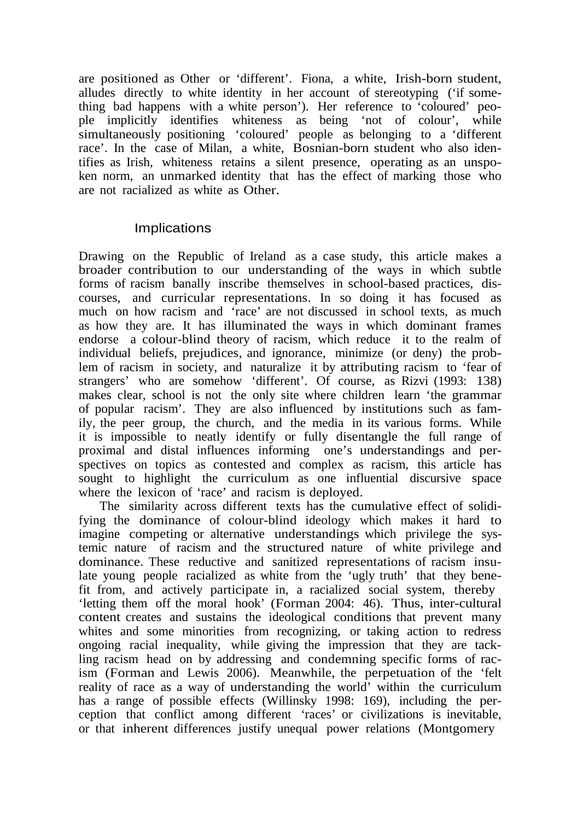are positioned as Other or 'different'. Fiona, a white, Irish-born student, alludes directly to white identity in her account of stereotyping ('if something bad happens with a white person'). Her reference to 'coloured' people implicitly identifies whiteness as being 'not of colour', while simultaneously positioning 'coloured' people as belonging to a 'different race'. In the case of Milan, a white, Bosnian-born student who also identifies as Irish, whiteness retains a silent presence, operating as an unspoken norm, an unmarked identity that has the effect of marking those who are not racialized as white as Other.

### Implications

Drawing on the Republic of Ireland as a case study, this article makes a broader contribution to our understanding of the ways in which subtle forms of racism banally inscribe themselves in school-based practices, discourses, and curricular representations. In so doing it has focused as much on how racism and 'race' are not discussed in school texts, as much as how they are. It has illuminated the ways in which dominant frames endorse a colour-blind theory of racism, which reduce it to the realm of individual beliefs, prejudices, and ignorance, minimize (or deny) the problem of racism in society, and naturalize it by attributing racism to 'fear of strangers' who are somehow 'different'. Of course, as Rizvi (1993: 138) makes clear, school is not the only site where children learn 'the grammar of popular racism'. They are also influenced by institutions such as family, the peer group, the church, and the media in its various forms. While it is impossible to neatly identify or fully disentangle the full range of proximal and distal influences informing one's understandings and perspectives on topics as contested and complex as racism, this article has sought to highlight the curriculum as one influential discursive space where the lexicon of 'race' and racism is deployed.

The similarity across different texts has the cumulative effect of solidifying the dominance of colour-blind ideology which makes it hard to imagine competing or alternative understandings which privilege the systemic nature of racism and the structured nature of white privilege and dominance. These reductive and sanitized representations of racism insulate young people racialized as white from the 'ugly truth' that they benefit from, and actively participate in, a racialized social system, thereby 'letting them off the moral hook' (Forman 2004: 46). Thus, inter-cultural content creates and sustains the ideological conditions that prevent many whites and some minorities from recognizing, or taking action to redress ongoing racial inequality, while giving the impression that they are tackling racism head on by addressing and condemning specific forms of racism (Forman and Lewis 2006). Meanwhile, the perpetuation of the 'felt reality of race as a way of understanding the world' within the curriculum has a range of possible effects (Willinsky 1998: 169), including the perception that conflict among different 'races' or civilizations is inevitable, or that inherent differences justify unequal power relations (Montgomery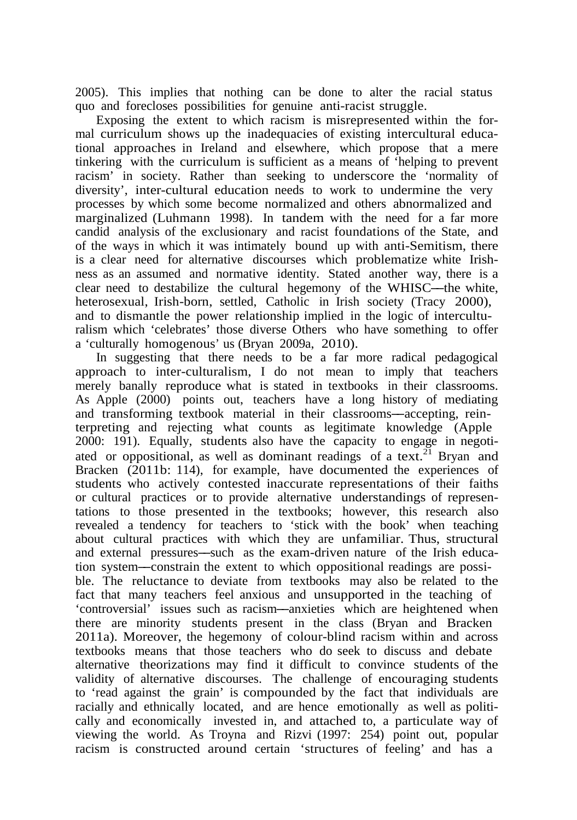2005). This implies that nothing can be done to alter the racial status quo and forecloses possibilities for genuine anti-racist struggle.

Exposing the extent to which racism is misrepresented within the formal curriculum shows up the inadequacies of existing intercultural educational approaches in Ireland and elsewhere, which propose that a mere tinkering with the curriculum is sufficient as a means of 'helping to prevent racism' in society. Rather than seeking to underscore the 'normality of diversity', inter-cultural education needs to work to undermine the very processes by which some become normalized and others abnormalized and marginalized (Luhmann 1998). In tandem with the need for a far more candid analysis of the exclusionary and racist foundations of the State, and of the ways in which it was intimately bound up with anti-Semitism, there is a clear need for alternative discourses which problematize white Irishness as an assumed and normative identity. Stated another way, there is a clear need to destabilize the cultural hegemony of the WHISC––the white, heterosexual, Irish-born, settled, Catholic in Irish society (Tracy 2000), and to dismantle the power relationship implied in the logic of interculturalism which 'celebrates' those diverse Others who have something to offer a 'culturally homogenous' us (Bryan 2009a, 2010).

In suggesting that there needs to be a far more radical pedagogical approach to inter-culturalism, I do not mean to imply that teachers merely banally reproduce what is stated in textbooks in their classrooms. As Apple (2000) points out, teachers have a long history of mediating and transforming textbook material in their classrooms––accepting, reinterpreting and rejecting what counts as legitimate knowledge (Apple 2000: 191). Equally, students also have the capacity to engage in negotiated or oppositional, as well as dominant readings of a text.<sup>21</sup> Bryan and Bracken (2011b: 114), for example, have documented the experiences of students who actively contested inaccurate representations of their faiths or cultural practices or to provide alternative understandings of representations to those presented in the textbooks; however, this research also revealed a tendency for teachers to 'stick with the book' when teaching about cultural practices with which they are unfamiliar. Thus, structural and external pressures––such as the exam-driven nature of the Irish education system––constrain the extent to which oppositional readings are possible. The reluctance to deviate from textbooks may also be related to the fact that many teachers feel anxious and unsupported in the teaching of 'controversial' issues such as racism––anxieties which are heightened when there are minority students present in the class (Bryan and Bracken 2011a). Moreover, the hegemony of colour-blind racism within and across textbooks means that those teachers who do seek to discuss and debate alternative theorizations may find it difficult to convince students of the validity of alternative discourses. The challenge of encouraging students to 'read against the grain' is compounded by the fact that individuals are racially and ethnically located, and are hence emotionally as well as politically and economically invested in, and attached to, a particulate way of viewing the world. As Troyna and Rizvi (1997: 254) point out, popular racism is constructed around certain 'structures of feeling' and has a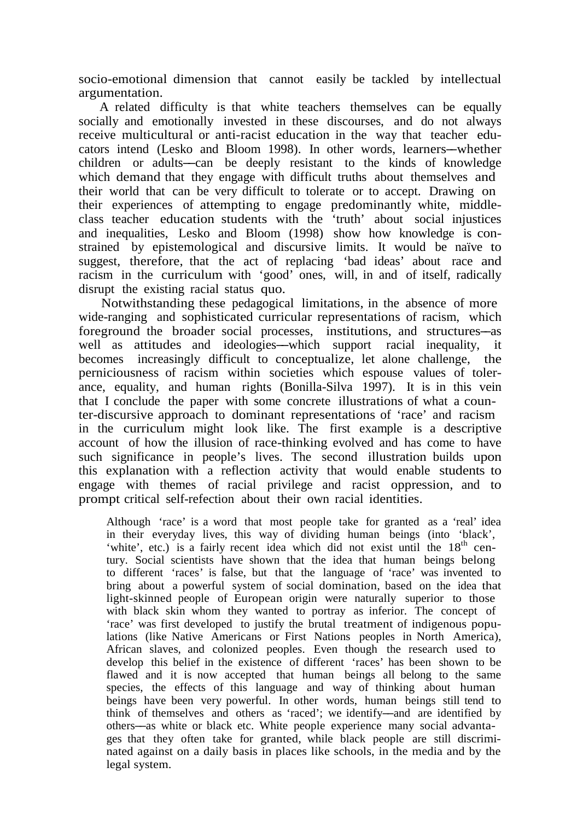socio-emotional dimension that cannot easily be tackled by intellectual argumentation.

A related difficulty is that white teachers themselves can be equally socially and emotionally invested in these discourses, and do not always receive multicultural or anti-racist education in the way that teacher educators intend (Lesko and Bloom 1998). In other words, learners––whether children or adults––can be deeply resistant to the kinds of knowledge which demand that they engage with difficult truths about themselves and their world that can be very difficult to tolerate or to accept. Drawing on their experiences of attempting to engage predominantly white, middleclass teacher education students with the 'truth' about social injustices and inequalities, Lesko and Bloom (1998) show how knowledge is constrained by epistemological and discursive limits. It would be naïve to suggest, therefore, that the act of replacing 'bad ideas' about race and racism in the curriculum with 'good' ones, will, in and of itself, radically disrupt the existing racial status quo.

Notwithstanding these pedagogical limitations, in the absence of more wide-ranging and sophisticated curricular representations of racism, which foreground the broader social processes, institutions, and structures––as well as attitudes and ideologies—which support racial inequality, it becomes increasingly difficult to conceptualize, let alone challenge, the perniciousness of racism within societies which espouse values of tolerance, equality, and human rights (Bonilla-Silva 1997). It is in this vein that I conclude the paper with some concrete illustrations of what a counter-discursive approach to dominant representations of 'race' and racism in the curriculum might look like. The first example is a descriptive account of how the illusion of race-thinking evolved and has come to have such significance in people's lives. The second illustration builds upon this explanation with a reflection activity that would enable students to engage with themes of racial privilege and racist oppression, and to prompt critical self-refection about their own racial identities.

Although 'race' is a word that most people take for granted as a 'real' idea in their everyday lives, this way of dividing human beings (into 'black', 'white', etc.) is a fairly recent idea which did not exist until the 18<sup>th</sup> century. Social scientists have shown that the idea that human beings belong to different 'races' is false, but that the language of 'race' was invented to bring about a powerful system of social domination, based on the idea that light-skinned people of European origin were naturally superior to those with black skin whom they wanted to portray as inferior. The concept of 'race' was first developed to justify the brutal treatment of indigenous populations (like Native Americans or First Nations peoples in North America), African slaves, and colonized peoples. Even though the research used to develop this belief in the existence of different 'races' has been shown to be flawed and it is now accepted that human beings all belong to the same species, the effects of this language and way of thinking about human beings have been very powerful. In other words, human beings still tend to think of themselves and others as 'raced'; we identify––and are identified by others––as white or black etc. White people experience many social advantages that they often take for granted, while black people are still discriminated against on a daily basis in places like schools, in the media and by the legal system.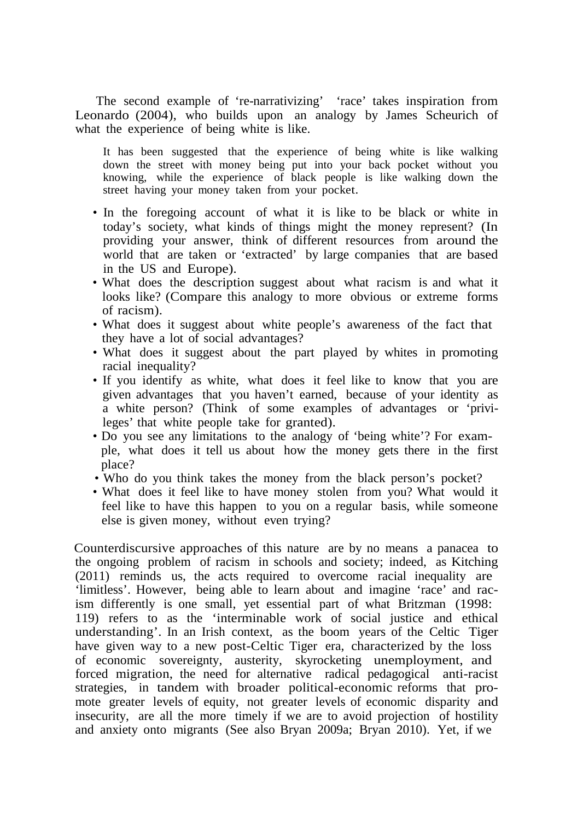The second example of 're-narrativizing' 'race' takes inspiration from Leonardo (2004), who builds upon an analogy by James Scheurich of what the experience of being white is like.

It has been suggested that the experience of being white is like walking down the street with money being put into your back pocket without you knowing, while the experience of black people is like walking down the street having your money taken from your pocket.

- In the foregoing account of what it is like to be black or white in today's society, what kinds of things might the money represent? (In providing your answer, think of different resources from around the world that are taken or 'extracted' by large companies that are based in the US and Europe).
- What does the description suggest about what racism is and what it looks like? (Compare this analogy to more obvious or extreme forms of racism).
- What does it suggest about white people's awareness of the fact that they have a lot of social advantages?
- What does it suggest about the part played by whites in promoting racial inequality?
- If you identify as white, what does it feel like to know that you are given advantages that you haven't earned, because of your identity as a white person? (Think of some examples of advantages or 'privileges' that white people take for granted).
- Do you see any limitations to the analogy of 'being white'? For example, what does it tell us about how the money gets there in the first place?
- Who do you think takes the money from the black person's pocket?
- What does it feel like to have money stolen from you? What would it feel like to have this happen to you on a regular basis, while someone else is given money, without even trying?

Counterdiscursive approaches of this nature are by no means a panacea to the ongoing problem of racism in schools and society; indeed, as Kitching (2011) reminds us, the acts required to overcome racial inequality are 'limitless'. However, being able to learn about and imagine 'race' and racism differently is one small, yet essential part of what Britzman (1998: 119) refers to as the 'interminable work of social justice and ethical understanding'. In an Irish context, as the boom years of the Celtic Tiger have given way to a new post-Celtic Tiger era, characterized by the loss of economic sovereignty, austerity, skyrocketing unemployment, and forced migration, the need for alternative radical pedagogical anti-racist strategies, in tandem with broader political-economic reforms that promote greater levels of equity, not greater levels of economic disparity and insecurity, are all the more timely if we are to avoid projection of hostility and anxiety onto migrants (See also Bryan 2009a; Bryan 2010). Yet, if we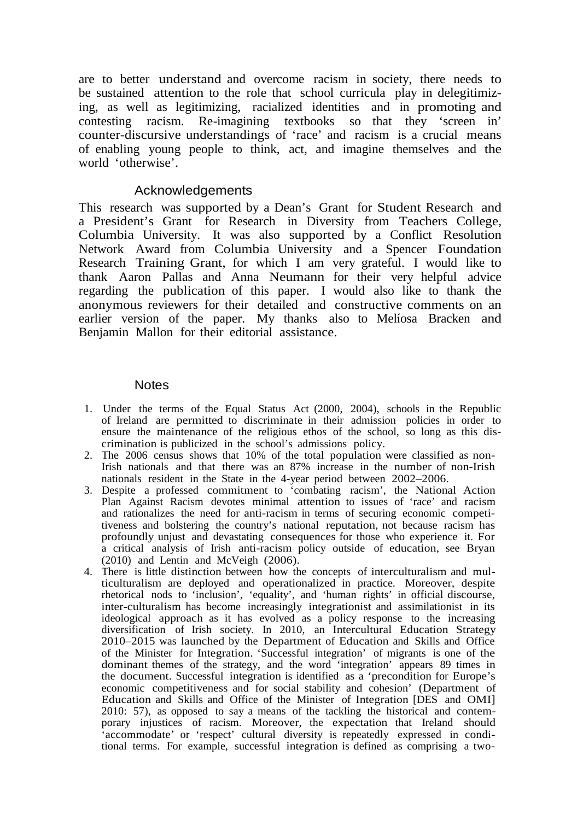are to better understand and overcome racism in society, there needs to be sustained attention to the role that school curricula play in delegitimizing, as well as legitimizing, racialized identities and in promoting and contesting racism. Re-imagining textbooks so that they 'screen in' counter-discursive understandings of 'race' and racism is a crucial means of enabling young people to think, act, and imagine themselves and the world 'otherwise'.

### Acknowledgements

This research was supported by a Dean's Grant for Student Research and a President's Grant for Research in Diversity from Teachers College, Columbia University. It was also supported by a Conflict Resolution Network Award from Columbia University and a Spencer Foundation Research Training Grant, for which I am very grateful. I would like to thank Aaron Pallas and Anna Neumann for their very helpful advice regarding the publication of this paper. I would also like to thank the anonymous reviewers for their detailed and constructive comments on an earlier version of the paper. My thanks also to Melíosa Bracken and Benjamin Mallon for their editorial assistance.

#### **Notes**

- 1. Under the terms of the Equal Status Act (2000, 2004), schools in the Republic of Ireland are permitted to discriminate in their admission policies in order to ensure the maintenance of the religious ethos of the school, so long as this discrimination is publicized in the school's admissions policy.
- 2. The 2006 census shows that 10% of the total population were classified as non-Irish nationals and that there was an 87% increase in the number of non-Irish nationals resident in the State in the 4-year period between 2002–2006.
- 3. Despite a professed commitment to 'combating racism', the National Action Plan Against Racism devotes minimal attention to issues of 'race' and racism and rationalizes the need for anti-racism in terms of securing economic competitiveness and bolstering the country's national reputation, not because racism has profoundly unjust and devastating consequences for those who experience it. For a critical analysis of Irish anti-racism policy outside of education, see Bryan (2010) and Lentin and McVeigh (2006).
- 4. There is little distinction between how the concepts of interculturalism and multiculturalism are deployed and operationalized in practice. Moreover, despite rhetorical nods to 'inclusion', 'equality', and 'human rights' in official discourse, inter-culturalism has become increasingly integrationist and assimilationist in its ideological approach as it has evolved as a policy response to the increasing diversification of Irish society. In 2010, an Intercultural Education Strategy 2010–2015 was launched by the Department of Education and Skills and Office of the Minister for Integration. 'Successful integration' of migrants is one of the dominant themes of the strategy, and the word 'integration' appears 89 times in the document. Successful integration is identified as a 'precondition for Europe's economic competitiveness and for social stability and cohesion' (Department of Education and Skills and Office of the Minister of Integration [DES and OMI] 2010: 57), as opposed to say a means of the tackling the historical and contemporary injustices of racism. Moreover, the expectation that Ireland should 'accommodate' or 'respect' cultural diversity is repeatedly expressed in conditional terms. For example, successful integration is defined as comprising a two-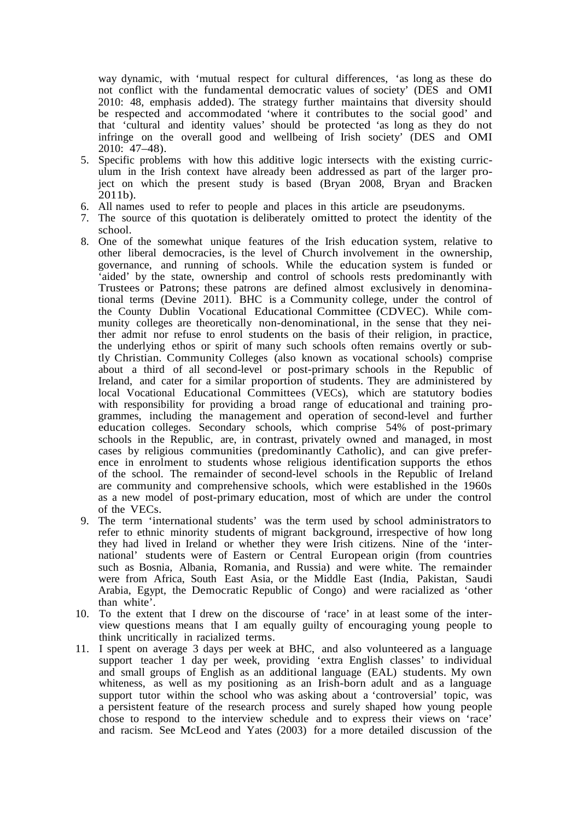way dynamic, with 'mutual respect for cultural differences, 'as long as these do not conflict with the fundamental democratic values of society' (DES and OMI 2010: 48, emphasis added). The strategy further maintains that diversity should be respected and accommodated 'where it contributes to the social good' and that 'cultural and identity values' should be protected 'as long as they do not infringe on the overall good and wellbeing of Irish society' (DES and OMI 2010: 47–48).

- 5. Specific problems with how this additive logic intersects with the existing curriculum in the Irish context have already been addressed as part of the larger project on which the present study is based (Bryan 2008, Bryan and Bracken 2011b).
- 6. All names used to refer to people and places in this article are pseudonyms.
- 7. The source of this quotation is deliberately omitted to protect the identity of the school.
- 8. One of the somewhat unique features of the Irish education system, relative to other liberal democracies, is the level of Church involvement in the ownership, governance, and running of schools. While the education system is funded or 'aided' by the state, ownership and control of schools rests predominantly with Trustees or Patrons; these patrons are defined almost exclusively in denominational terms (Devine 2011). BHC is a Community college, under the control of the County Dublin Vocational Educational Committee (CDVEC). While community colleges are theoretically non-denominational, in the sense that they neither admit nor refuse to enrol students on the basis of their religion, in practice, the underlying ethos or spirit of many such schools often remains overtly or subtly Christian. Community Colleges (also known as vocational schools) comprise about a third of all second-level or post-primary schools in the Republic of Ireland, and cater for a similar proportion of students. They are administered by local Vocational Educational Committees (VECs), which are statutory bodies with responsibility for providing a broad range of educational and training programmes, including the management and operation of second-level and further education colleges. Secondary schools, which comprise 54% of post-primary schools in the Republic, are, in contrast, privately owned and managed, in most cases by religious communities (predominantly Catholic), and can give preference in enrolment to students whose religious identification supports the ethos of the school. The remainder of second-level schools in the Republic of Ireland are community and comprehensive schools, which were established in the 1960s as a new model of post-primary education, most of which are under the control of the VECs.
- 9. The term 'international students' was the term used by school administrators to refer to ethnic minority students of migrant background, irrespective of how long they had lived in Ireland or whether they were Irish citizens. Nine of the 'international' students were of Eastern or Central European origin (from countries such as Bosnia, Albania, Romania, and Russia) and were white. The remainder were from Africa, South East Asia, or the Middle East (India, Pakistan, Saudi Arabia, Egypt, the Democratic Republic of Congo) and were racialized as 'other than white'.
- 10. To the extent that I drew on the discourse of 'race' in at least some of the interview questions means that I am equally guilty of encouraging young people to think uncritically in racialized terms.
- 11. I spent on average 3 days per week at BHC, and also volunteered as a language support teacher 1 day per week, providing 'extra English classes' to individual and small groups of English as an additional language (EAL) students. My own whiteness, as well as my positioning as an Irish-born adult and as a language support tutor within the school who was asking about a 'controversial' topic, was a persistent feature of the research process and surely shaped how young people chose to respond to the interview schedule and to express their views on 'race' and racism. See McLeod and Yates (2003) for a more detailed discussion of the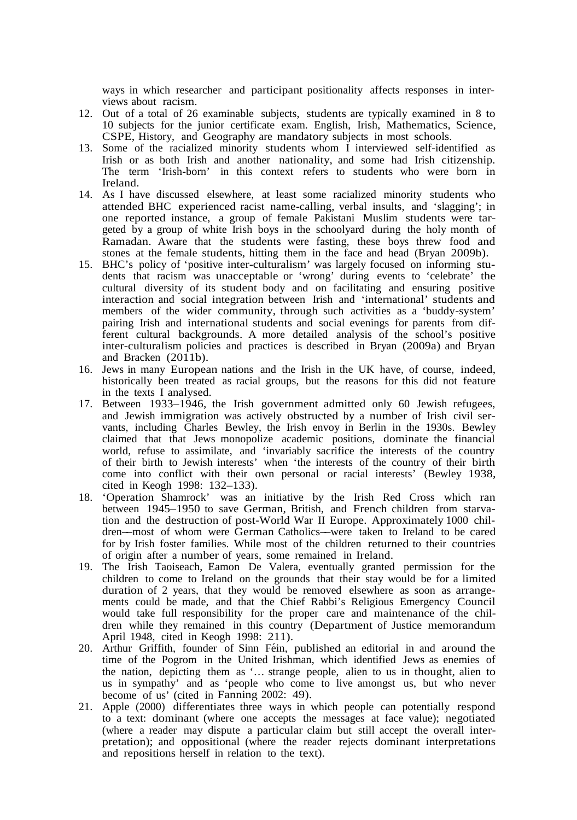ways in which researcher and participant positionality affects responses in interviews about racism.

- 12. Out of a total of 26 examinable subjects, students are typically examined in 8 to 10 subjects for the junior certificate exam. English, Irish, Mathematics, Science, CSPE, History, and Geography are mandatory subjects in most schools.
- 13. Some of the racialized minority students whom I interviewed self-identified as Irish or as both Irish and another nationality, and some had Irish citizenship. The term 'Irish-born' in this context refers to students who were born in Ireland.
- 14. As I have discussed elsewhere, at least some racialized minority students who attended BHC experienced racist name-calling, verbal insults, and 'slagging'; in one reported instance, a group of female Pakistani Muslim students were targeted by a group of white Irish boys in the schoolyard during the holy month of Ramadan. Aware that the students were fasting, these boys threw food and stones at the female students, hitting them in the face and head (Bryan 2009b).
- 15. BHC's policy of 'positive inter-culturalism' was largely focused on informing students that racism was unacceptable or 'wrong' during events to 'celebrate' the cultural diversity of its student body and on facilitating and ensuring positive interaction and social integration between Irish and 'international' students and members of the wider community, through such activities as a 'buddy-system' pairing Irish and international students and social evenings for parents from different cultural backgrounds. A more detailed analysis of the school's positive inter-culturalism policies and practices is described in Bryan (2009a) and Bryan and Bracken (2011b).
- 16. Jews in many European nations and the Irish in the UK have, of course, indeed, historically been treated as racial groups, but the reasons for this did not feature in the texts I analysed.
- 17. Between 1933–1946, the Irish government admitted only 60 Jewish refugees, and Jewish immigration was actively obstructed by a number of Irish civil servants, including Charles Bewley, the Irish envoy in Berlin in the 1930s. Bewley claimed that that Jews monopolize academic positions, dominate the financial world, refuse to assimilate, and 'invariably sacrifice the interests of the country of their birth to Jewish interests' when 'the interests of the country of their birth come into conflict with their own personal or racial interests' (Bewley 1938, cited in Keogh 1998: 132–133).
- 18. 'Operation Shamrock' was an initiative by the Irish Red Cross which ran between 1945–1950 to save German, British, and French children from starvation and the destruction of post-World War II Europe. Approximately 1000 children––most of whom were German Catholics––were taken to Ireland to be cared for by Irish foster families. While most of the children returned to their countries of origin after a number of years, some remained in Ireland.
- 19. The Irish Taoiseach, Eamon De Valera, eventually granted permission for the children to come to Ireland on the grounds that their stay would be for a limited duration of 2 years, that they would be removed elsewhere as soon as arrangements could be made, and that the Chief Rabbi's Religious Emergency Council would take full responsibility for the proper care and maintenance of the children while they remained in this country (Department of Justice memorandum April 1948, cited in Keogh 1998: 211).
- 20. Arthur Griffith, founder of Sinn Féin, published an editorial in and around the time of the Pogrom in the United Irishman, which identified Jews as enemies of the nation, depicting them as '… strange people, alien to us in thought, alien to us in sympathy' and as 'people who come to live amongst us, but who never become of us' (cited in Fanning 2002: 49).
- 21. Apple (2000) differentiates three ways in which people can potentially respond to a text: dominant (where one accepts the messages at face value); negotiated (where a reader may dispute a particular claim but still accept the overall interpretation); and oppositional (where the reader rejects dominant interpretations and repositions herself in relation to the text).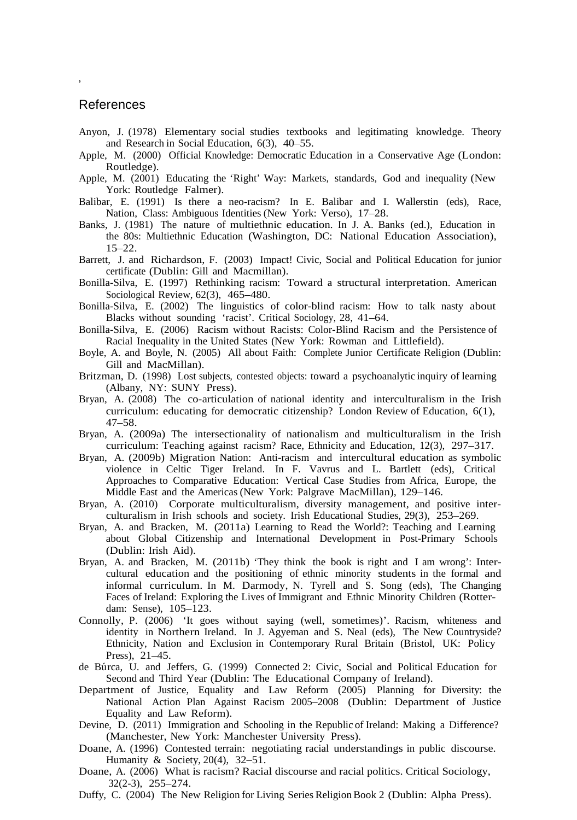#### References

,

- Anyon, J. (1978) Elementary social studies textbooks and legitimating knowledge. Theory and Research in Social Education, 6(3), 40–55.
- Apple, M. (2000) Official Knowledge: Democratic Education in a Conservative Age (London: Routledge).
- Apple, M. (2001) Educating the 'Right' Way: Markets, standards, God and inequality (New York: Routledge Falmer).
- Balibar, E. (1991) Is there a neo-racism? In E. Balibar and I. Wallerstin (eds), Race, Nation, Class: Ambiguous Identities (New York: Verso), 17–28.
- Banks, J. (1981) The nature of multiethnic education. In J. A. Banks (ed.), Education in the 80s: Multiethnic Education (Washington, DC: National Education Association), 15–22.
- Barrett, J. and Richardson, F. (2003) Impact! Civic, Social and Political Education for junior certificate (Dublin: Gill and Macmillan).
- Bonilla-Silva, E. (1997) Rethinking racism: Toward a structural interpretation. American Sociological Review, 62(3), 465-480.
- Bonilla-Silva, E. (2002) The linguistics of color-blind racism: How to talk nasty about Blacks without sounding 'racist'. Critical Sociology, 28, 41–64.
- Bonilla-Silva, E. (2006) Racism without Racists: Color-Blind Racism and the Persistence of Racial Inequality in the United States (New York: Rowman and Littlefield).
- Boyle, A. and Boyle, N. (2005) All about Faith: Complete Junior Certificate Religion (Dublin: Gill and MacMillan).
- Britzman, D. (1998) Lost subjects, contested objects: toward a psychoanalytic inquiry of learning (Albany, NY: SUNY Press).
- Bryan, A. (2008) The co-articulation of national identity and interculturalism in the Irish curriculum: educating for democratic citizenship? London Review of Education, 6(1), 47–58.
- Bryan, A. (2009a) The intersectionality of nationalism and multiculturalism in the Irish curriculum: Teaching against racism? Race, Ethnicity and Education, 12(3), 297–317.
- Bryan, A. (2009b) Migration Nation: Anti-racism and intercultural education as symbolic violence in Celtic Tiger Ireland. In F. Vavrus and L. Bartlett (eds), Critical Approaches to Comparative Education: Vertical Case Studies from Africa, Europe, the Middle East and the Americas (New York: Palgrave MacMillan), 129–146.
- Bryan, A. (2010) Corporate multiculturalism, diversity management, and positive interculturalism in Irish schools and society. Irish Educational Studies, 29(3), 253–269.
- Bryan, A. and Bracken, M. (2011a) Learning to Read the World?: Teaching and Learning about Global Citizenship and International Development in Post-Primary Schools (Dublin: Irish Aid).
- Bryan, A. and Bracken, M. (2011b) 'They think the book is right and I am wrong': Intercultural education and the positioning of ethnic minority students in the formal and informal curriculum. In M. Darmody, N. Tyrell and S. Song (eds), The Changing Faces of Ireland: Exploring the Lives of Immigrant and Ethnic Minority Children (Rotterdam: Sense), 105–123.
- Connolly, P. (2006) 'It goes without saying (well, sometimes)'. Racism, whiteness and identity in Northern Ireland. In J. Agyeman and S. Neal (eds), The New Countryside? Ethnicity, Nation and Exclusion in Contemporary Rural Britain (Bristol, UK: Policy Press), 21–45.
- de Búrca, U. and Jeffers, G. (1999) Connected 2: Civic, Social and Political Education for Second and Third Year (Dublin: The Educational Company of Ireland).
- Department of Justice, Equality and Law Reform (2005) Planning for Diversity: the National Action Plan Against Racism 2005–2008 (Dublin: Department of Justice Equality and Law Reform).
- Devine, D. (2011) Immigration and Schooling in the Republic of Ireland: Making a Difference? (Manchester, New York: Manchester University Press).
- Doane, A. (1996) Contested terrain: negotiating racial understandings in public discourse. Humanity & Society, 20(4), 32–51.
- Doane, A. (2006) What is racism? Racial discourse and racial politics. Critical Sociology, 32(2-3), 255–274.
- Duffy, C. (2004) The New Religion for Living Series Religion Book 2 (Dublin: Alpha Press).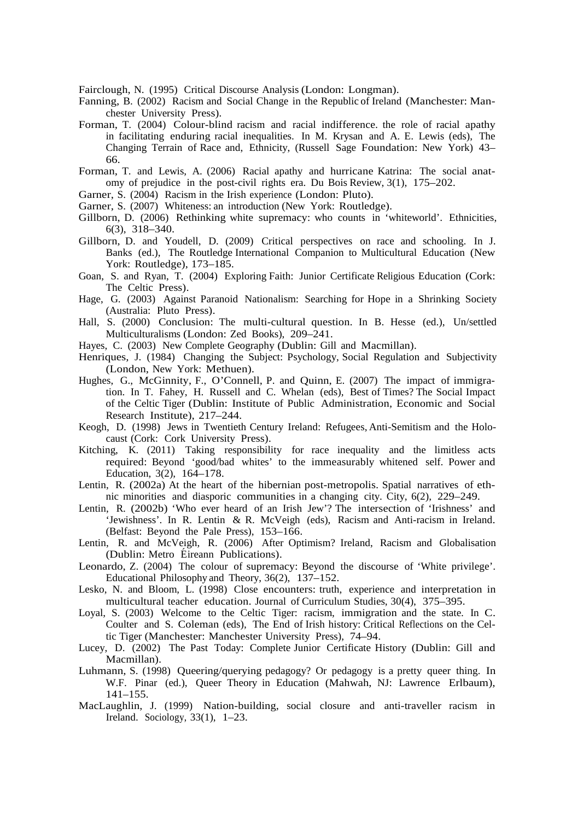Fairclough, N. (1995) Critical Discourse Analysis (London: Longman).

- Fanning, B. (2002) Racism and Social Change in the Republic of Ireland (Manchester: Manchester University Press).
- Forman, T. (2004) Colour-blind racism and racial indifference. the role of racial apathy in facilitating enduring racial inequalities. In M. Krysan and A. E. Lewis (eds), The Changing Terrain of Race and, Ethnicity, (Russell Sage Foundation: New York) 43– 66.
- Forman, T. and Lewis, A. (2006) Racial apathy and hurricane Katrina: The social anatomy of prejudice in the post-civil rights era. Du Bois Review, 3(1), 175–202.
- Garner, S. (2004) Racism in the Irish experience (London: Pluto).
- Garner, S. (2007) Whiteness: an introduction (New York: Routledge).
- Gillborn, D. (2006) Rethinking white supremacy: who counts in 'whiteworld'. Ethnicities, 6(3), 318–340.
- Gillborn, D. and Youdell, D. (2009) Critical perspectives on race and schooling. In J. Banks (ed.), The Routledge International Companion to Multicultural Education (New York: Routledge), 173–185.
- Goan, S. and Ryan, T. (2004) Exploring Faith: Junior Certificate Religious Education (Cork: The Celtic Press).
- Hage, G. (2003) Against Paranoid Nationalism: Searching for Hope in a Shrinking Society (Australia: Pluto Press).
- Hall, S. (2000) Conclusion: The multi-cultural question. In B. Hesse (ed.), Un/settled Multiculturalisms (London: Zed Books), 209–241.
- Hayes, C. (2003) New Complete Geography (Dublin: Gill and Macmillan).
- Henriques, J. (1984) Changing the Subject: Psychology, Social Regulation and Subjectivity (London, New York: Methuen).
- Hughes, G., McGinnity, F., O'Connell, P. and Quinn, E. (2007) The impact of immigration. In T. Fahey, H. Russell and C. Whelan (eds), Best of Times? The Social Impact of the Celtic Tiger (Dublin: Institute of Public Administration, Economic and Social Research Institute), 217–244.
- Keogh, D. (1998) Jews in Twentieth Century Ireland: Refugees, Anti-Semitism and the Holocaust (Cork: Cork University Press).
- Kitching, K. (2011) Taking responsibility for race inequality and the limitless acts required: Beyond 'good/bad whites' to the immeasurably whitened self. Power and Education, 3(2), 164–178.
- Lentin, R. (2002a) At the heart of the hibernian post-metropolis. Spatial narratives of ethnic minorities and diasporic communities in a changing city. City, 6(2), 229–249.
- Lentin, R. (2002b) 'Who ever heard of an Irish Jew'? The intersection of 'Irishness' and 'Jewishness'. In R. Lentin & R. McVeigh (eds), Racism and Anti-racism in Ireland. (Belfast: Beyond the Pale Press), 153–166.
- Lentin, R. and McVeigh, R. (2006) After Optimism? Ireland, Racism and Globalisation (Dublin: Metro Éireann Publications).
- Leonardo, Z. (2004) The colour of supremacy: Beyond the discourse of 'White privilege'. Educational Philosophy and Theory, 36(2), 137–152.
- Lesko, N. and Bloom, L. (1998) Close encounters: truth, experience and interpretation in multicultural teacher education. Journal of Curriculum Studies, 30(4), 375–395.
- Loyal, S. (2003) Welcome to the Celtic Tiger: racism, immigration and the state. In C. Coulter and S. Coleman (eds), The End of Irish history: Critical Reflections on the Celtic Tiger (Manchester: Manchester University Press), 74–94.
- Lucey, D. (2002) The Past Today: Complete Junior Certificate History (Dublin: Gill and Macmillan).
- Luhmann, S. (1998) Queering/querying pedagogy? Or pedagogy is a pretty queer thing. In W.F. Pinar (ed.), Queer Theory in Education (Mahwah, NJ: Lawrence Erlbaum), 141–155.
- MacLaughlin, J. (1999) Nation-building, social closure and anti-traveller racism in Ireland. Sociology, 33(1), 1–23.